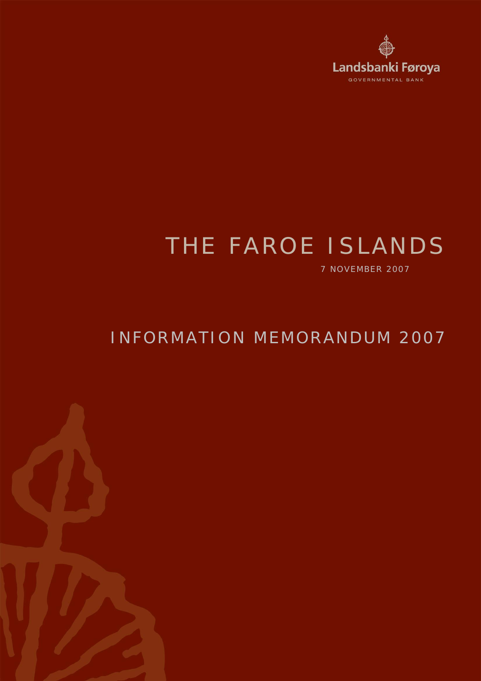

# THE FAROE ISLANDS

7 NOVEMBER 2007

## INFORMATION MEMORANDUM 2007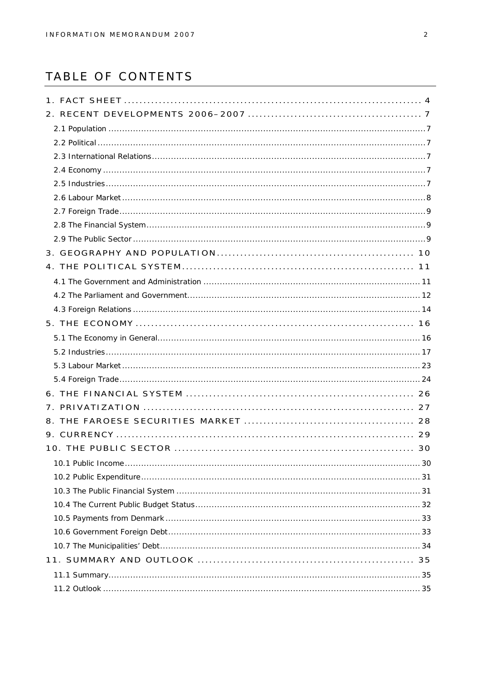## TABLE OF CONTENTS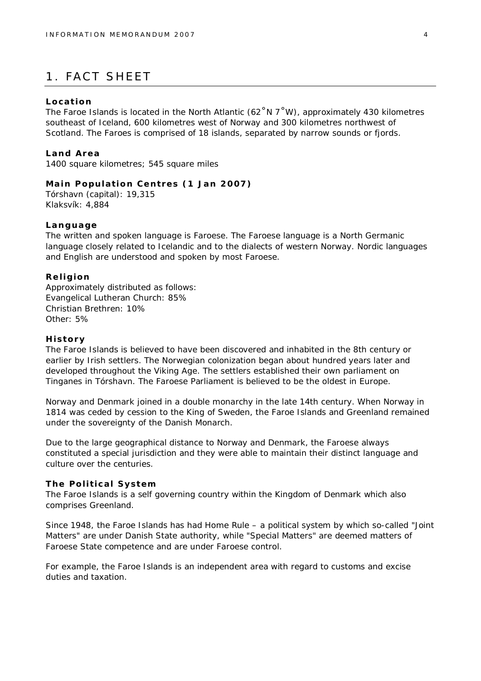## 1. FACT SHEET

#### **Location**

The Faroe Islands is located in the North Atlantic (62 $\degree$ N 7 $\degree$ W), approximately 430 kilometres southeast of Iceland, 600 kilometres west of Norway and 300 kilometres northwest of Scotland. The Faroes is comprised of 18 islands, separated by narrow sounds or fjords.

**Land Area** 1400 square kilometres; 545 square miles

**Main Population Centres (1 Jan 2007)** Tórshavn (capital): 19,315 Klaksvík: 4,884

#### **Language**

The written and spoken language is Faroese. The Faroese language is a North Germanic language closely related to Icelandic and to the dialects of western Norway. Nordic languages and English are understood and spoken by most Faroese.

**Religion** Approximately distributed as follows: Evangelical Lutheran Church: 85% Christian Brethren: 10% Other: 5%

#### **History**

The Faroe Islands is believed to have been discovered and inhabited in the 8th century or earlier by Irish settlers. The Norwegian colonization began about hundred years later and developed throughout the Viking Age. The settlers established their own parliament on Tinganes in Tórshavn. The Faroese Parliament is believed to be the oldest in Europe.

Norway and Denmark joined in a double monarchy in the late 14th century. When Norway in 1814 was ceded by cession to the King of Sweden, the Faroe Islands and Greenland remained under the sovereignty of the Danish Monarch.

Due to the large geographical distance to Norway and Denmark, the Faroese always constituted a special jurisdiction and they were able to maintain their distinct language and culture over the centuries.

#### **The Political System**

The Faroe Islands is a self governing country within the Kingdom of Denmark which also comprises Greenland.

Since 1948, the Faroe Islands has had Home Rule – a political system by which so-called "Joint Matters" are under Danish State authority, while "Special Matters" are deemed matters of Faroese State competence and are under Faroese control.

For example, the Faroe Islands is an independent area with regard to customs and excise duties and taxation.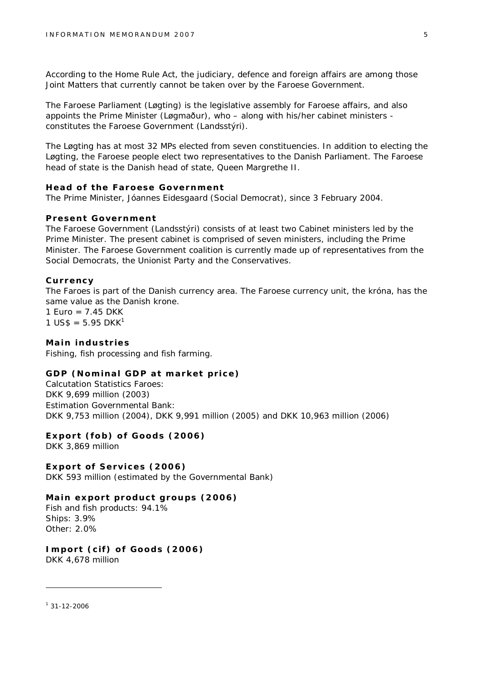According to the Home Rule Act, the judiciary, defence and foreign affairs are among those Joint Matters that currently cannot be taken over by the Faroese Government.

The Faroese Parliament (Løgting) is the legislative assembly for Faroese affairs, and also appoints the Prime Minister (Løgmaður), who – along with his/her cabinet ministers constitutes the Faroese Government (Landsstýri).

The Løgting has at most 32 MPs elected from seven constituencies. In addition to electing the Løgting, the Faroese people elect two representatives to the Danish Parliament. The Faroese head of state is the Danish head of state, Queen Margrethe II.

**Head of the Faroese Government** The Prime Minister, Jóannes Eidesgaard (Social Democrat), since 3 February 2004.

#### **Present Government**

The Faroese Government (Landsstýri) consists of at least two Cabinet ministers led by the Prime Minister. The present cabinet is comprised of seven ministers, including the Prime Minister. The Faroese Government coalition is currently made up of representatives from the Social Democrats, the Unionist Party and the Conservatives.

#### **Currency**

The Faroes is part of the Danish currency area. The Faroese currency unit, the króna, has the same value as the Danish krone.

1 Euro =  $7.45$  DKK  $1 \text{ US}\$ = 5.95 \text{ DKK}^1$ 

**Main industries** Fishing, fish processing and fish farming.

**GDP (Nominal GDP at market price)** *Calcutation Statistics Faroes:* DKK 9,699 million (2003) *Estimation Governmental Bank:* DKK 9,753 million (2004), DKK 9,991 million (2005) and DKK 10,963 million (2006)

**Export (fob) of Goods (2006)** DKK 3,869 million

**Export of Services (2006)** DKK 593 million (estimated by the Governmental Bank)

**Main export product groups (2006)** Fish and fish products: 94.1% Ships: 3.9% Other: 2.0%

**Import (cif) of Goods (2006)** DKK 4,678 million

 $131 - 12 - 2006$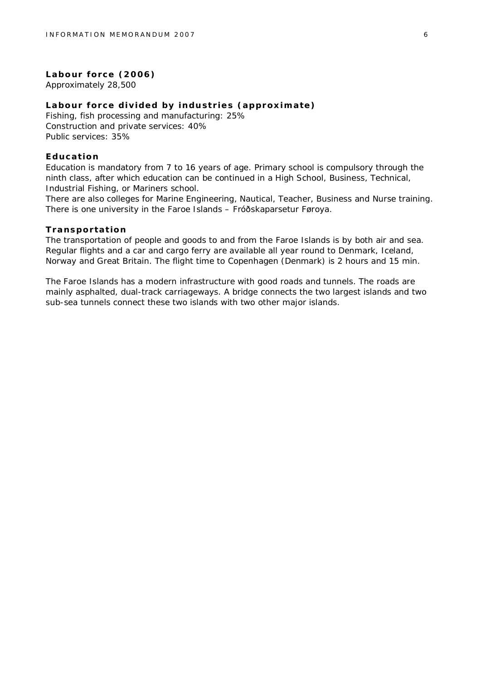**Labour force (2006)** Approximately 28,500

**Labour force divided by industries (approximate)** Fishing, fish processing and manufacturing: 25% Construction and private services: 40% Public services: 35%

#### **Education**

Education is mandatory from 7 to 16 years of age. Primary school is compulsory through the ninth class, after which education can be continued in a High School, Business, Technical, Industrial Fishing, or Mariners school.

There are also colleges for Marine Engineering, Nautical, Teacher, Business and Nurse training. There is one university in the Faroe Islands – Fróðskaparsetur Føroya.

#### **Transportation**

The transportation of people and goods to and from the Faroe Islands is by both air and sea. Regular flights and a car and cargo ferry are available all year round to Denmark, Iceland, Norway and Great Britain. The flight time to Copenhagen (Denmark) is 2 hours and 15 min.

The Faroe Islands has a modern infrastructure with good roads and tunnels. The roads are mainly asphalted, dual-track carriageways. A bridge connects the two largest islands and two sub-sea tunnels connect these two islands with two other major islands.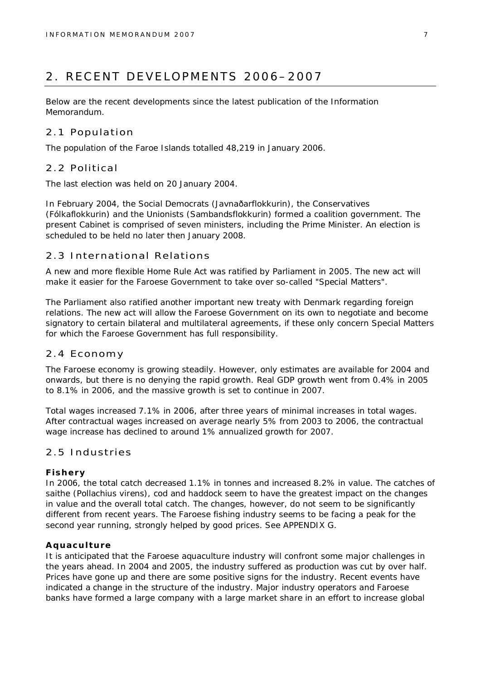## 2. RECENT DEVELOPMENTS 2006–2007

Below are the recent developments since the latest publication of the Information Memorandum.

#### 2.1 Population

The population of the Faroe Islands totalled 48,219 in January 2006.

#### 2.2 Political

The last election was held on 20 January 2004.

In February 2004, the Social Democrats (Javnaðarflokkurin), the Conservatives (Fólkaflokkurin) and the Unionists (Sambandsflokkurin) formed a coalition government. The present Cabinet is comprised of seven ministers, including the Prime Minister. An election is scheduled to be held no later then January 2008.

#### 2.3 International Relations

A new and more flexible Home Rule Act was ratified by Parliament in 2005. The new act will make it easier for the Faroese Government to take over so-called "Special Matters".

The Parliament also ratified another important new treaty with Denmark regarding foreign relations. The new act will allow the Faroese Government on its own to negotiate and become signatory to certain bilateral and multilateral agreements, if these only concern Special Matters for which the Faroese Government has full responsibility.

#### 2.4 Economy

The Faroese economy is growing steadily. However, only estimates are available for 2004 and onwards, but there is no denying the rapid growth. Real GDP growth went from 0.4% in 2005 to 8.1% in 2006, and the massive growth is set to continue in 2007.

Total wages increased 7.1% in 2006, after three years of minimal increases in total wages. After contractual wages increased on average nearly 5% from 2003 to 2006, the contractual wage increase has declined to around 1% annualized growth for 2007.

#### 2.5 Industries

#### **Fishery**

In 2006, the total catch decreased 1.1% in tonnes and increased 8.2% in value. The catches of saithe (Pollachius virens), cod and haddock seem to have the greatest impact on the changes in value and the overall total catch. The changes, however, do not seem to be significantly different from recent years. The Faroese fishing industry seems to be facing a peak for the second year running, strongly helped by good prices. See APPENDIX G.

#### **Aquaculture**

It is anticipated that the Faroese aquaculture industry will confront some major challenges in the years ahead. In 2004 and 2005, the industry suffered as production was cut by over half. Prices have gone up and there are some positive signs for the industry. Recent events have indicated a change in the structure of the industry. Major industry operators and Faroese banks have formed a large company with a large market share in an effort to increase global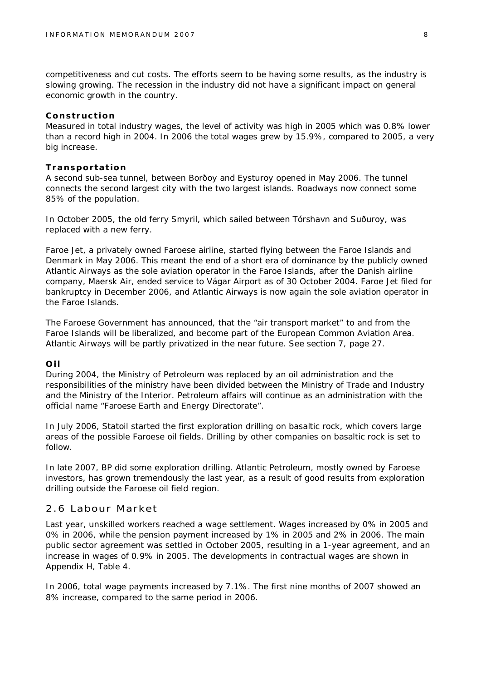competitiveness and cut costs. The efforts seem to be having some results, as the industry is slowing growing. The recession in the industry did not have a significant impact on general economic growth in the country.

#### **Construction**

Measured in total industry wages, the level of activity was high in 2005 which was 0.8% lower than a record high in 2004. In 2006 the total wages grew by 15.9%, compared to 2005, a very big increase.

#### **Transportation**

A second sub-sea tunnel, between Borðoy and Eysturoy opened in May 2006. The tunnel connects the second largest city with the two largest islands. Roadways now connect some 85% of the population.

In October 2005, the old ferry Smyril, which sailed between Tórshavn and Suðuroy, was replaced with a new ferry.

Faroe Jet, a privately owned Faroese airline, started flying between the Faroe Islands and Denmark in May 2006. This meant the end of a short era of dominance by the publicly owned Atlantic Airways as the sole aviation operator in the Faroe Islands, after the Danish airline company, Maersk Air, ended service to Vágar Airport as of 30 October 2004. Faroe Jet filed for bankruptcy in December 2006, and Atlantic Airways is now again the sole aviation operator in the Faroe Islands.

The Faroese Government has announced, that the "air transport market" to and from the Faroe Islands will be liberalized, and become part of the European Common Aviation Area. Atlantic Airways will be partly privatized in the near future. See section 7, page 27.

#### **Oil**

During 2004, the Ministry of Petroleum was replaced by an oil administration and the responsibilities of the ministry have been divided between the Ministry of Trade and Industry and the Ministry of the Interior. Petroleum affairs will continue as an administration with the official name "Faroese Earth and Energy Directorate".

In July 2006, Statoil started the first exploration drilling on basaltic rock, which covers large areas of the possible Faroese oil fields. Drilling by other companies on basaltic rock is set to follow.

In late 2007, BP did some exploration drilling. Atlantic Petroleum, mostly owned by Faroese investors, has grown tremendously the last year, as a result of good results from exploration drilling outside the Faroese oil field region.

#### 2.6 Labour Market

Last year, unskilled workers reached a wage settlement. Wages increased by 0% in 2005 and 0% in 2006, while the pension payment increased by 1% in 2005 and 2% in 2006. The main public sector agreement was settled in October 2005, resulting in a 1-year agreement, and an increase in wages of 0.9% in 2005. The developments in contractual wages are shown in Appendix H, Table 4.

In 2006, total wage payments increased by 7.1%. The first nine months of 2007 showed an 8% increase, compared to the same period in 2006.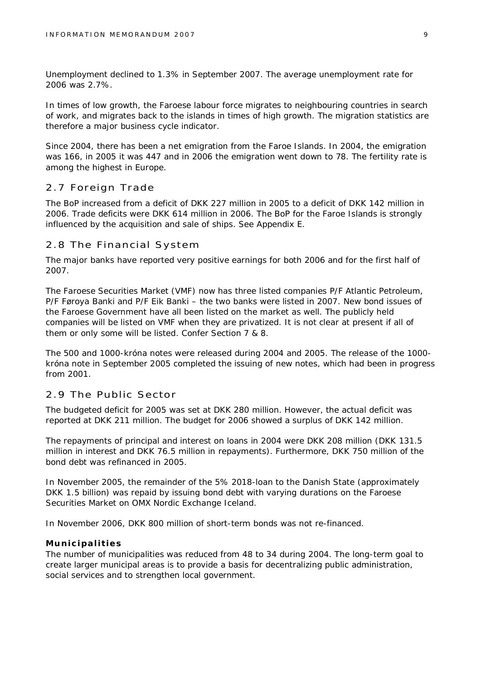Unemployment declined to 1.3% in September 2007. The average unemployment rate for 2006 was 2.7%.

In times of low growth, the Faroese labour force migrates to neighbouring countries in search of work, and migrates back to the islands in times of high growth. The migration statistics are therefore a major business cycle indicator.

Since 2004, there has been a net emigration from the Faroe Islands. In 2004, the emigration was 166, in 2005 it was 447 and in 2006 the emigration went down to 78. The fertility rate is among the highest in Europe.

#### 2.7 Foreign Trade

The BoP increased from a deficit of DKK 227 million in 2005 to a deficit of DKK 142 million in 2006. Trade deficits were DKK 614 million in 2006. The BoP for the Faroe Islands is strongly influenced by the acquisition and sale of ships. See Appendix E.

#### 2.8 The Financial System

The major banks have reported very positive earnings for both 2006 and for the first half of 2007.

The Faroese Securities Market (VMF) now has three listed companies P/F Atlantic Petroleum, P/F Føroya Banki and P/F Eik Banki – the two banks were listed in 2007. New bond issues of the Faroese Government have all been listed on the market as well. The publicly held companies will be listed on VMF when they are privatized. It is not clear at present if all of them or only some will be listed. Confer Section 7 & 8.

The 500 and 1000-króna notes were released during 2004 and 2005. The release of the 1000 króna note in September 2005 completed the issuing of new notes, which had been in progress from 2001.

#### 2.9 The Public Sector

The budgeted deficit for 2005 was set at DKK 280 million. However, the actual deficit was reported at DKK 211 million. The budget for 2006 showed a surplus of DKK 142 million.

The repayments of principal and interest on loans in 2004 were DKK 208 million (DKK 131.5 million in interest and DKK 76.5 million in repayments). Furthermore, DKK 750 million of the bond debt was refinanced in 2005.

In November 2005, the remainder of the 5% 2018-loan to the Danish State (approximately DKK 1.5 billion) was repaid by issuing bond debt with varying durations on the Faroese Securities Market on OMX Nordic Exchange Iceland.

In November 2006, DKK 800 million of short-term bonds was not re-financed.

#### **Municipalities**

The number of municipalities was reduced from 48 to 34 during 2004. The long-term goal to create larger municipal areas is to provide a basis for decentralizing public administration, social services and to strengthen local government.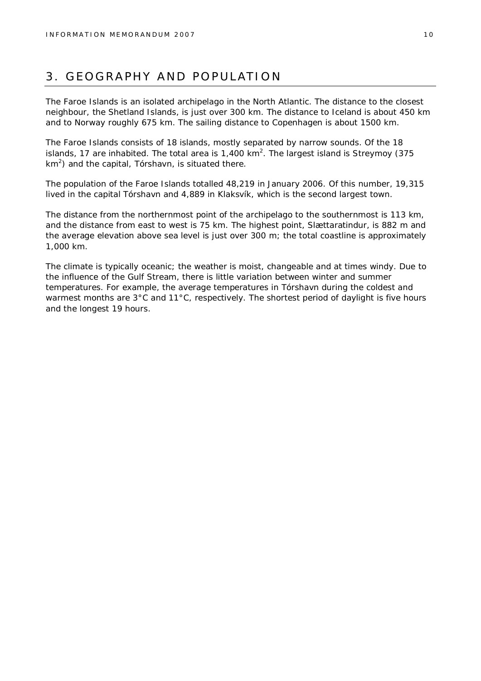## 3. GEOGRAPHY AND POPULATION

The Faroe Islands is an isolated archipelago in the North Atlantic. The distance to the closest neighbour, the Shetland Islands, is just over 300 km. The distance to Iceland is about 450 km and to Norway roughly 675 km. The sailing distance to Copenhagen is about 1500 km.

The Faroe Islands consists of 18 islands, mostly separated by narrow sounds. Of the 18 islands, 17 are inhabited. The total area is 1,400 km<sup>2</sup>. The largest island is Streymoy (375  $km<sup>2</sup>$ ) and the capital, Tórshavn, is situated there.

The population of the Faroe Islands totalled 48,219 in January 2006. Of this number, 19,315 lived in the capital Tórshavn and 4,889 in Klaksvík, which is the second largest town.

The distance from the northernmost point of the archipelago to the southernmost is 113 km, and the distance from east to west is 75 km. The highest point, Slættaratindur, is 882 m and the average elevation above sea level is just over 300 m; the total coastline is approximately 1,000 km.

The climate is typically oceanic; the weather is moist, changeable and at times windy. Due to the influence of the Gulf Stream, there is little variation between winter and summer temperatures. For example, the average temperatures in Tórshavn during the coldest and warmest months are 3°C and 11°C, respectively. The shortest period of daylight is five hours and the longest 19 hours.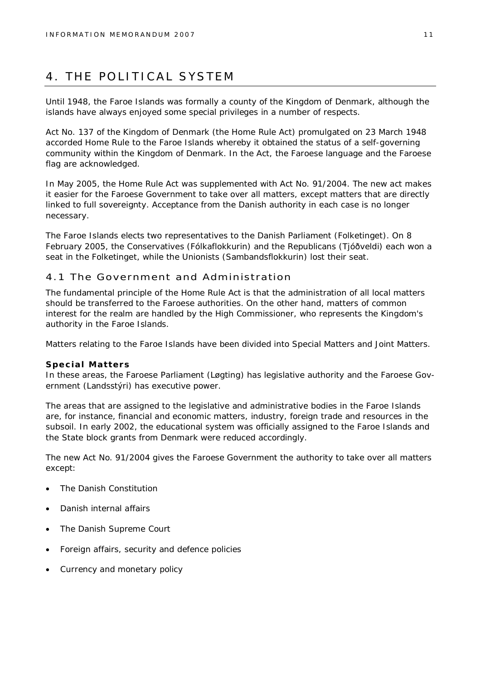## 4. THE POLITICAL SYSTEM

Until 1948, the Faroe Islands was formally a county of the Kingdom of Denmark, although the islands have always enjoyed some special privileges in a number of respects.

Act No. 137 of the Kingdom of Denmark (the Home Rule Act) promulgated on 23 March 1948 accorded Home Rule to the Faroe Islands whereby it obtained the status of a self-governing community within the Kingdom of Denmark. In the Act, the Faroese language and the Faroese flag are acknowledged.

In May 2005, the Home Rule Act was supplemented with Act No. 91/2004. The new act makes it easier for the Faroese Government to take over all matters, except matters that are directly linked to full sovereignty. Acceptance from the Danish authority in each case is no longer necessary.

The Faroe Islands elects two representatives to the Danish Parliament (Folketinget). On 8 February 2005, the Conservatives (Fólkaflokkurin) and the Republicans (Tjóðveldi) each won a seat in the Folketinget, while the Unionists (Sambandsflokkurin) lost their seat.

#### 4.1 The Government and Administration

The fundamental principle of the Home Rule Act is that the administration of all local matters should be transferred to the Faroese authorities. On the other hand, matters of common interest for the realm are handled by the High Commissioner, who represents the Kingdom's authority in the Faroe Islands.

Matters relating to the Faroe Islands have been divided into Special Matters and Joint Matters.

#### **Special Matters**

In these areas, the Faroese Parliament (Løgting) has legislative authority and the Faroese Government (Landsstýri) has executive power.

The areas that are assigned to the legislative and administrative bodies in the Faroe Islands are, for instance, financial and economic matters, industry, foreign trade and resources in the subsoil. In early 2002, the educational system was officially assigned to the Faroe Islands and the State block grants from Denmark were reduced accordingly.

The new Act No. 91/2004 gives the Faroese Government the authority to take over all matters except:

- The Danish Constitution
- Danish internal affairs
- The Danish Supreme Court
- Foreign affairs, security and defence policies
- Currency and monetary policy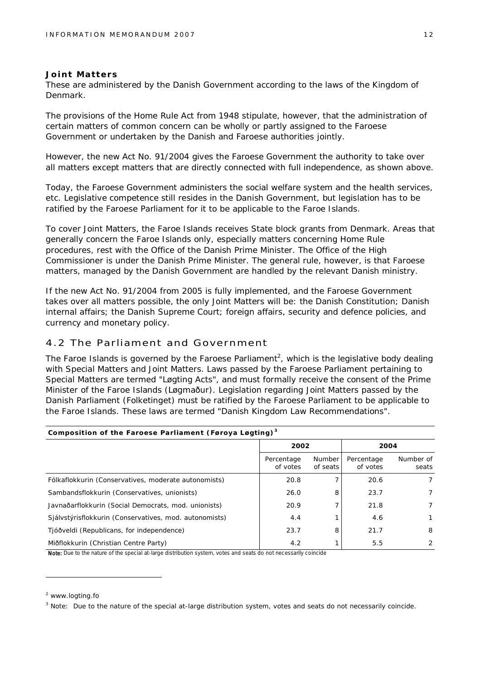#### **Joint Matters**

These are administered by the Danish Government according to the laws of the Kingdom of Denmark.

The provisions of the Home Rule Act from 1948 stipulate, however, that the administration of certain matters of common concern can be wholly or partly assigned to the Faroese Government or undertaken by the Danish and Faroese authorities jointly.

However, the new Act No. 91/2004 gives the Faroese Government the authority to take over all matters except matters that are directly connected with full independence, as shown above.

Today, the Faroese Government administers the social welfare system and the health services, etc. Legislative competence still resides in the Danish Government, but legislation has to be ratified by the Faroese Parliament for it to be applicable to the Faroe Islands.

To cover Joint Matters, the Faroe Islands receives State block grants from Denmark. Areas that generally concern the Faroe Islands only, especially matters concerning Home Rule procedures, rest with the Office of the Danish Prime Minister. The Office of the High Commissioner is under the Danish Prime Minister. The general rule, however, is that Faroese matters, managed by the Danish Government are handled by the relevant Danish ministry.

If the new Act No. 91/2004 from 2005 is fully implemented, and the Faroese Government takes over all matters possible, the only Joint Matters will be: the Danish Constitution; Danish internal affairs; the Danish Supreme Court; foreign affairs, security and defence policies, and currency and monetary policy.

#### 4.2 The Parliament and Government

The Faroe Islands is governed by the Faroese Parliament<sup>2</sup>, which is the legislative body dealing with Special Matters and Joint Matters. Laws passed by the Faroese Parliament pertaining to Special Matters are termed "Løgting Acts", and must formally receive the consent of the Prime Minister of the Faroe Islands (Løgmaður). Legislation regarding Joint Matters passed by the Danish Parliament (Folketinget) must be ratified by the Faroese Parliament to be applicable to the Faroe Islands. These laws are termed "Danish Kingdom Law Recommendations".

| Composition of the Faroese Parliament (Føroya Løgting) $^3$ |                        |                    |                        |                    |  |  |  |  |
|-------------------------------------------------------------|------------------------|--------------------|------------------------|--------------------|--|--|--|--|
|                                                             | 2002                   |                    | 2004                   |                    |  |  |  |  |
|                                                             | Percentage<br>of votes | Number<br>of seats | Percentage<br>of votes | Number of<br>seats |  |  |  |  |
| Fólkaflokkurin (Conservatives, moderate autonomists)        | 20.8                   |                    | 20.6                   | 7                  |  |  |  |  |
| Sambandsflokkurin (Conservatives, unionists)                | 26.0                   | 8                  | 23.7                   | 7                  |  |  |  |  |
| Javnaðarflokkurin (Social Democrats, mod. unionists)        | 20.9                   |                    | 21.8                   | 7                  |  |  |  |  |
| Sjálvstýrisflokkurin (Conservatives, mod. autonomists)      | 4.4                    |                    | 4.6                    | 1                  |  |  |  |  |
| Tjóðveldi (Republicans, for independence)                   | 23.7                   | 8                  | 21.7                   | 8                  |  |  |  |  |
| Miðflokkurin (Christian Centre Party)                       | 4.2                    |                    | 5.5                    | 2                  |  |  |  |  |

Note: Due to the nature of the special at-large distribution system, votes and seats do not necessarily coincide

<sup>&</sup>lt;sup>2</sup> [www.logting.fo](http://www.logting.fo)

 $3$  Note: Due to the nature of the special at-large distribution system, votes and seats do not necessarily coincide.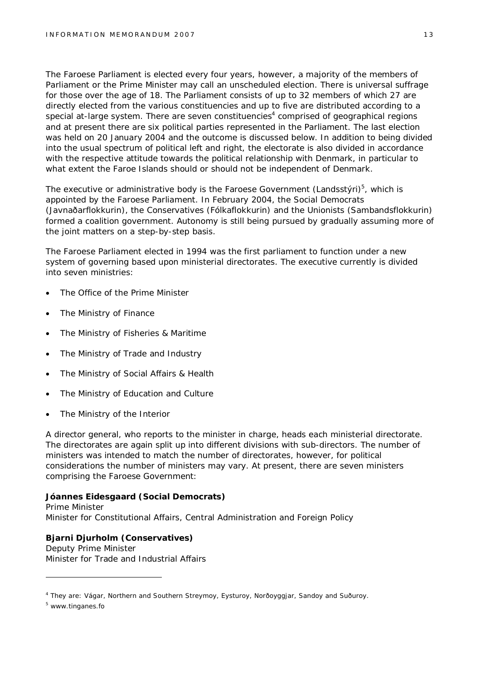The Faroese Parliament is elected every four years, however, a majority of the members of Parliament or the Prime Minister may call an unscheduled election. There is universal suffrage for those over the age of 18. The Parliament consists of up to 32 members of which 27 are directly elected from the various constituencies and up to five are distributed according to a special at-large system. There are seven constituencies<sup>4</sup> comprised of geographical regions and at present there are six political parties represented in the Parliament. The last election was held on 20 January 2004 and the outcome is discussed below. In addition to being divided into the usual spectrum of political left and right, the electorate is also divided in accordance with the respective attitude towards the political relationship with Denmark, in particular to what extent the Faroe Islands should or should not be independent of Denmark.

The executive or administrative body is the Faroese Government (Landsstýri)<sup>5</sup>, which is appointed by the Faroese Parliament. In February 2004, the Social Democrats (Javnaðarflokkurin), the Conservatives (Fólkaflokkurin) and the Unionists (Sambandsflokkurin) formed a coalition government. Autonomy is still being pursued by gradually assuming more of the joint matters on a step-by-step basis.

The Faroese Parliament elected in 1994 was the first parliament to function under a new system of governing based upon ministerial directorates. The executive currently is divided into seven ministries:

- The Office of the Prime Minister
- The Ministry of Finance
- The Ministry of Fisheries & Maritime
- The Ministry of Trade and Industry
- The Ministry of Social Affairs & Health
- The Ministry of Education and Culture
- The Ministry of the Interior

A director general, who reports to the minister in charge, heads each ministerial directorate. The directorates are again split up into different divisions with sub-directors. The number of ministers was intended to match the number of directorates, however, for political considerations the number of ministers may vary. At present, there are seven ministers comprising the Faroese Government:

**Jóannes Eidesgaard (Social Democrats)** Prime Minister Minister for Constitutional Affairs, Central Administration and Foreign Policy

**Bjarni Djurholm (Conservatives)** Deputy Prime Minister Minister for Trade and Industrial Affairs

<sup>5</sup> [www.tinganes.fo](http://www.tinganes.fo)

<sup>4</sup> They are: Vágar, Northern and Southern Streymoy, Eysturoy, Norðoyggjar, Sandoy and Suðuroy.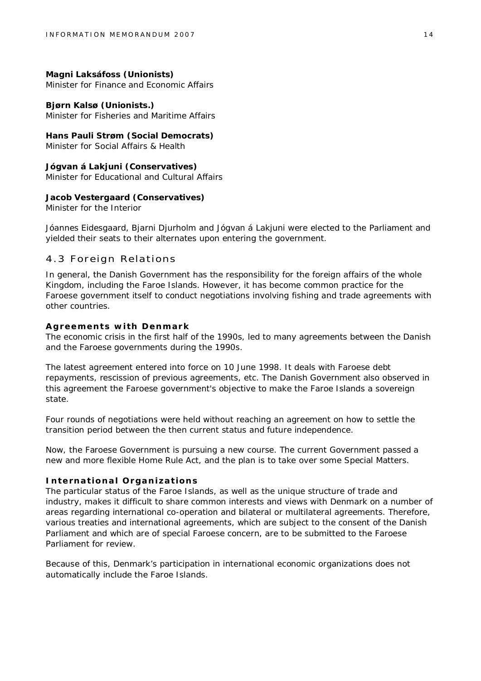**Magni Laksáfoss (Unionists)** Minister for Finance and Economic Affairs

**Bjørn Kalsø (Unionists.)** Minister for Fisheries and Maritime Affairs

**Hans Pauli Strøm (Social Democrats)** Minister for Social Affairs & Health

**Jógvan á Lakjuni (Conservatives)** Minister for Educational and Cultural Affairs

**Jacob Vestergaard (Conservatives)** Minister for the Interior

Jóannes Eidesgaard, Bjarni Djurholm and Jógvan á Lakjuni were elected to the Parliament and yielded their seats to their alternates upon entering the government.

#### 4.3 Foreign Relations

In general, the Danish Government has the responsibility for the foreign affairs of the whole Kingdom, including the Faroe Islands. However, it has become common practice for the Faroese government itself to conduct negotiations involving fishing and trade agreements with other countries.

#### **Agreements with Denmark**

The economic crisis in the first half of the 1990s, led to many agreements between the Danish and the Faroese governments during the 1990s.

The latest agreement entered into force on 10 June 1998. It deals with Faroese debt repayments, rescission of previous agreements, etc. The Danish Government also observed in this agreement the Faroese government's objective to make the Faroe Islands a sovereign state.

Four rounds of negotiations were held without reaching an agreement on how to settle the transition period between the then current status and future independence.

Now, the Faroese Government is pursuing a new course. The current Government passed a new and more flexible Home Rule Act, and the plan is to take over some Special Matters.

#### **International Organizations**

The particular status of the Faroe Islands, as well as the unique structure of trade and industry, makes it difficult to share common interests and views with Denmark on a number of areas regarding international co-operation and bilateral or multilateral agreements. Therefore, various treaties and international agreements, which are subject to the consent of the Danish Parliament and which are of special Faroese concern, are to be submitted to the Faroese Parliament for review.

Because of this, Denmark's participation in international economic organizations does not automatically include the Faroe Islands.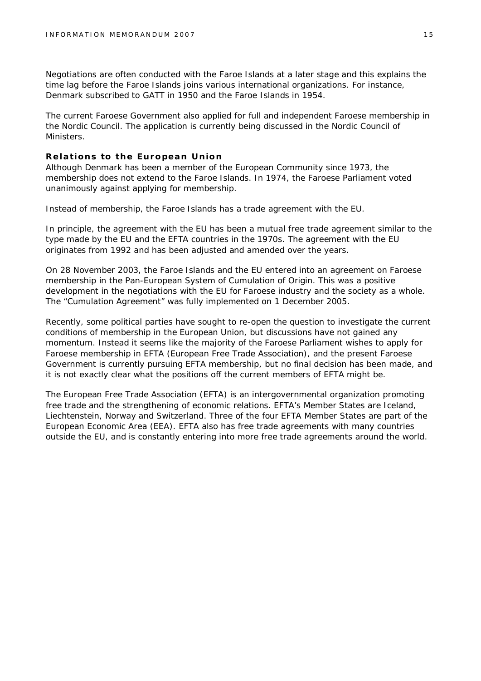Negotiations are often conducted with the Faroe Islands at a later stage and this explains the time lag before the Faroe Islands joins various international organizations. For instance, Denmark subscribed to GATT in 1950 and the Faroe Islands in 1954.

The current Faroese Government also applied for full and independent Faroese membership in the Nordic Council. The application is currently being discussed in the Nordic Council of Ministers.

#### **Relations to the European Union**

Although Denmark has been a member of the European Community since 1973, the membership does not extend to the Faroe Islands. In 1974, the Faroese Parliament voted unanimously against applying for membership.

Instead of membership, the Faroe Islands has a trade agreement with the EU.

In principle, the agreement with the EU has been a mutual free trade agreement similar to the type made by the EU and the EFTA countries in the 1970s. The agreement with the EU originates from 1992 and has been adjusted and amended over the years.

On 28 November 2003, the Faroe Islands and the EU entered into an agreement on Faroese membership in the Pan-European System of Cumulation of Origin. This was a positive development in the negotiations with the EU for Faroese industry and the society as a whole. The "Cumulation Agreement" was fully implemented on 1 December 2005.

Recently, some political parties have sought to re-open the question to investigate the current conditions of membership in the European Union, but discussions have not gained any momentum. Instead it seems like the majority of the Faroese Parliament wishes to apply for Faroese membership in EFTA (European Free Trade Association), and the present Faroese Government is currently pursuing EFTA membership, but no final decision has been made, and it is not exactly clear what the positions off the current members of EFTA might be.

The European Free Trade Association (EFTA) is an intergovernmental organization promoting free trade and the strengthening of economic relations. EFTA's Member States are Iceland, Liechtenstein, Norway and Switzerland. Three of the four EFTA Member States are part of the European Economic Area (EEA). EFTA also has free trade agreements with many countries outside the EU, and is constantly entering into more free trade agreements around the world.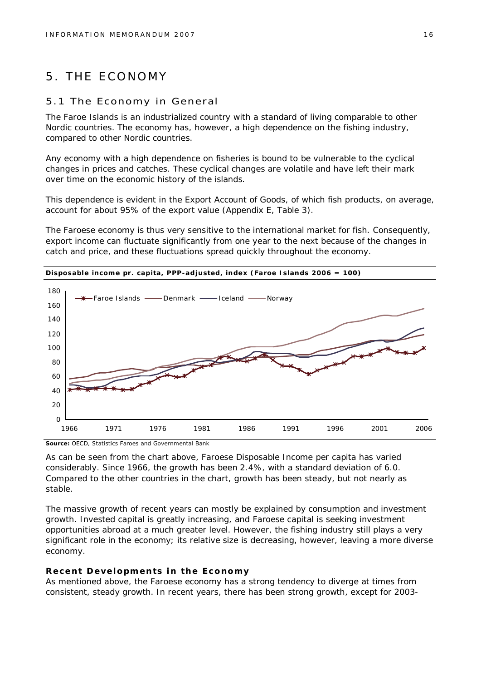## 5. THE ECONOMY

#### 5.1 The Economy in General

The Faroe Islands is an industrialized country with a standard of living comparable to other Nordic countries. The economy has, however, a high dependence on the fishing industry, compared to other Nordic countries.

Any economy with a high dependence on fisheries is bound to be vulnerable to the cyclical changes in prices and catches. These cyclical changes are volatile and have left their mark over time on the economic history of the islands.

This dependence is evident in the Export Account of Goods, of which fish products, on average, account for about 95% of the export value (Appendix E, Table 3).

The Faroese economy is thus very sensitive to the international market for fish. Consequently, export income can fluctuate significantly from one year to the next because of the changes in catch and price, and these fluctuations spread quickly throughout the economy.



**Source:** OECD, Statistics Faroes and Governmental Bank

As can be seen from the chart above, Faroese Disposable Income per capita has varied considerably. Since 1966, the growth has been 2.4%, with a standard deviation of 6.0. Compared to the other countries in the chart, growth has been steady, but not nearly as stable.

The massive growth of recent years can mostly be explained by consumption and investment growth. Invested capital is greatly increasing, and Faroese capital is seeking investment opportunities abroad at a much greater level. However, the fishing industry still plays a very significant role in the economy; its relative size is decreasing, however, leaving a more diverse economy.

#### **Recent Developments in the Economy**

As mentioned above, the Faroese economy has a strong tendency to diverge at times from consistent, steady growth. In recent years, there has been strong growth, except for 2003-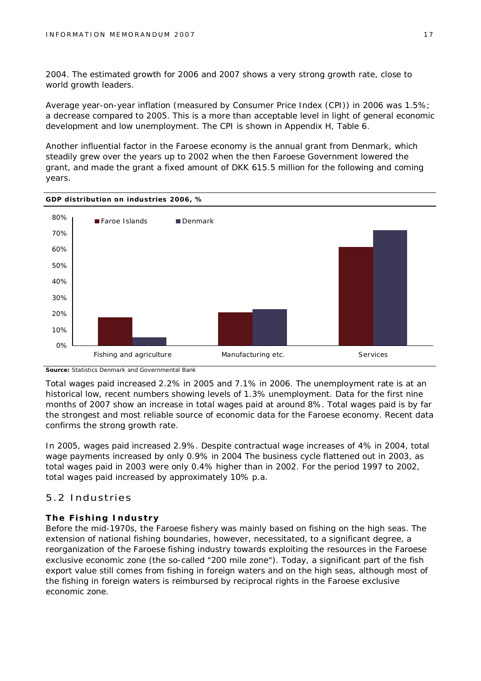2004. The estimated growth for 2006 and 2007 shows a very strong growth rate, close to world growth leaders.

Average year-on-year inflation (measured by Consumer Price Index (CPI)) in 2006 was 1.5%; a decrease compared to 2005. This is a more than acceptable level in light of general economic development and low unemployment. The CPI is shown in Appendix H, Table 6.

Another influential factor in the Faroese economy is the annual grant from Denmark, which steadily grew over the years up to 2002 when the then Faroese Government lowered the grant, and made the grant a fixed amount of DKK 615.5 million for the following and coming years.



**Source:** Statistics Denmark and Governmental Bank

Total wages paid increased 2.2% in 2005 and 7.1% in 2006. The unemployment rate is at an historical low, recent numbers showing levels of 1.3% unemployment. Data for the first nine months of 2007 show an increase in total wages paid at around 8%. Total wages paid is by far the strongest and most reliable source of economic data for the Faroese economy. Recent data confirms the strong growth rate.

In 2005, wages paid increased 2.9%. Despite contractual wage increases of 4% in 2004, total wage payments increased by only 0.9% in 2004 The business cycle flattened out in 2003, as total wages paid in 2003 were only 0.4% higher than in 2002. For the period 1997 to 2002, total wages paid increased by approximately 10% p.a.

#### 5.2 Industries

#### **The Fishing Industry**

Before the mid-1970s, the Faroese fishery was mainly based on fishing on the high seas. The extension of national fishing boundaries, however, necessitated, to a significant degree, a reorganization of the Faroese fishing industry towards exploiting the resources in the Faroese exclusive economic zone (the so-called "200 mile zone"). Today, a significant part of the fish export value still comes from fishing in foreign waters and on the high seas, although most of the fishing in foreign waters is reimbursed by reciprocal rights in the Faroese exclusive economic zone.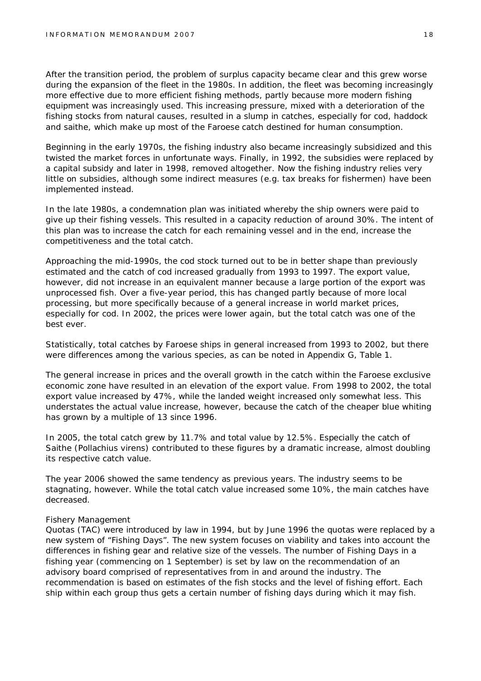After the transition period, the problem of surplus capacity became clear and this grew worse during the expansion of the fleet in the 1980s. In addition, the fleet was becoming increasingly more effective due to more efficient fishing methods, partly because more modern fishing equipment was increasingly used. This increasing pressure, mixed with a deterioration of the fishing stocks from natural causes, resulted in a slump in catches, especially for cod, haddock and saithe, which make up most of the Faroese catch destined for human consumption.

Beginning in the early 1970s, the fishing industry also became increasingly subsidized and this twisted the market forces in unfortunate ways. Finally, in 1992, the subsidies were replaced by a capital subsidy and later in 1998, removed altogether. Now the fishing industry relies very little on subsidies, although some indirect measures (e.g. tax breaks for fishermen) have been implemented instead.

In the late 1980s, a condemnation plan was initiated whereby the ship owners were paid to give up their fishing vessels. This resulted in a capacity reduction of around 30%. The intent of this plan was to increase the catch for each remaining vessel and in the end, increase the competitiveness and the total catch.

Approaching the mid-1990s, the cod stock turned out to be in better shape than previously estimated and the catch of cod increased gradually from 1993 to 1997. The export value, however, did not increase in an equivalent manner because a large portion of the export was unprocessed fish. Over a five-year period, this has changed partly because of more local processing, but more specifically because of a general increase in world market prices, especially for cod. In 2002, the prices were lower again, but the total catch was one of the best ever.

Statistically, total catches by Faroese ships in general increased from 1993 to 2002, but there were differences among the various species, as can be noted in Appendix G, Table 1.

The general increase in prices and the overall growth in the catch within the Faroese exclusive economic zone have resulted in an elevation of the export value. From 1998 to 2002, the total export value increased by 47%, while the landed weight increased only somewhat less. This understates the actual value increase, however, because the catch of the cheaper blue whiting has grown by a multiple of 13 since 1996.

In 2005, the total catch grew by 11.7% and total value by 12.5%. Especially the catch of Saithe (*Pollachius virens*) contributed to these figures by a dramatic increase, almost doubling its respective catch value.

The year 2006 showed the same tendency as previous years. The industry seems to be stagnating, however. While the total catch value increased some 10%, the main catches have decreased.

#### *Fishery Management*

Quotas (TAC) were introduced by law in 1994, but by June 1996 the quotas were replaced by a new system of "Fishing Days". The new system focuses on viability and takes into account the differences in fishing gear and relative size of the vessels. The number of Fishing Days in a fishing year (commencing on 1 September) is set by law on the recommendation of an advisory board comprised of representatives from in and around the industry. The recommendation is based on estimates of the fish stocks and the level of fishing effort. Each ship within each group thus gets a certain number of fishing days during which it may fish.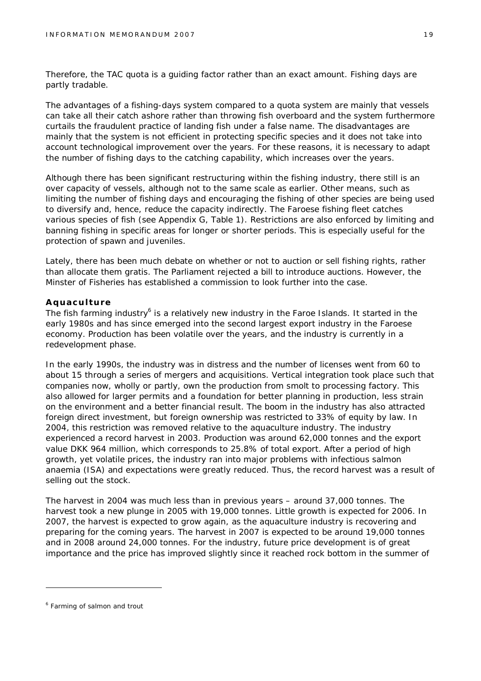Therefore, the TAC quota is a guiding factor rather than an exact amount. Fishing days are partly tradable.

The advantages of a fishing-days system compared to a quota system are mainly that vessels can take all their catch ashore rather than throwing fish overboard and the system furthermore curtails the fraudulent practice of landing fish under a false name. The disadvantages are mainly that the system is not efficient in protecting specific species and it does not take into account technological improvement over the years. For these reasons, it is necessary to adapt the number of fishing days to the catching capability, which increases over the years.

Although there has been significant restructuring within the fishing industry, there still is an over capacity of vessels, although not to the same scale as earlier. Other means, such as limiting the number of fishing days and encouraging the fishing of other species are being used to diversify and, hence, reduce the capacity indirectly. The Faroese fishing fleet catches various species of fish (see Appendix G, Table 1). Restrictions are also enforced by limiting and banning fishing in specific areas for longer or shorter periods. This is especially useful for the protection of spawn and juveniles.

Lately, there has been much debate on whether or not to auction or sell fishing rights, rather than allocate them gratis. The Parliament rejected a bill to introduce auctions. However, the Minster of Fisheries has established a commission to look further into the case.

#### **Aquaculture**

The fish farming industry<sup>6</sup> is a relatively new industry in the Faroe Islands. It started in the early 1980s and has since emerged into the second largest export industry in the Faroese economy. Production has been volatile over the years, and the industry is currently in a redevelopment phase.

In the early 1990s, the industry was in distress and the number of licenses went from 60 to about 15 through a series of mergers and acquisitions. Vertical integration took place such that companies now, wholly or partly, own the production from smolt to processing factory. This also allowed for larger permits and a foundation for better planning in production, less strain on the environment and a better financial result. The boom in the industry has also attracted foreign direct investment, but foreign ownership was restricted to 33% of equity by law. In 2004, this restriction was removed relative to the aquaculture industry. The industry experienced a record harvest in 2003. Production was around 62,000 tonnes and the export value DKK 964 million, which corresponds to 25.8% of total export. After a period of high growth, yet volatile prices, the industry ran into major problems with infectious salmon anaemia (ISA) and expectations were greatly reduced. Thus, the record harvest was a result of selling out the stock.

The harvest in 2004 was much less than in previous years – around 37,000 tonnes. The harvest took a new plunge in 2005 with 19,000 tonnes. Little growth is expected for 2006. In 2007, the harvest is expected to grow again, as the aquaculture industry is recovering and preparing for the coming years. The harvest in 2007 is expected to be around 19,000 tonnes and in 2008 around 24,000 tonnes. For the industry, future price development is of great importance and the price has improved slightly since it reached rock bottom in the summer of

<sup>&</sup>lt;sup>6</sup> Farming of salmon and trout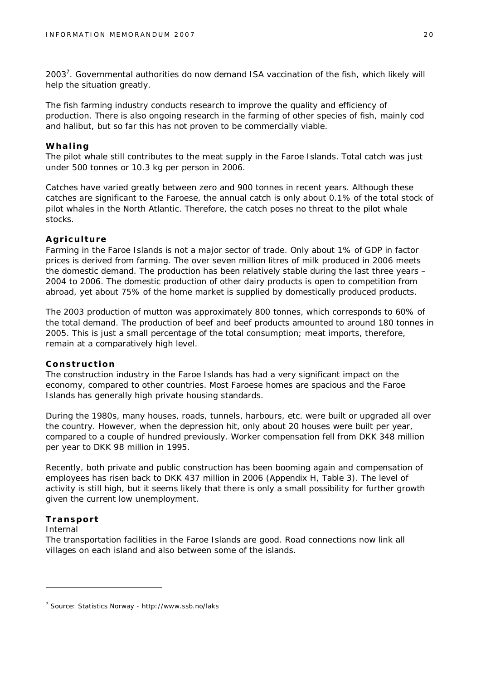2003<sup>7</sup>. Governmental authorities do now demand ISA vaccination of the fish, which likely will help the situation greatly.

The fish farming industry conducts research to improve the quality and efficiency of production. There is also ongoing research in the farming of other species of fish, mainly cod and halibut, but so far this has not proven to be commercially viable.

#### **Whaling**

The pilot whale still contributes to the meat supply in the Faroe Islands. Total catch was just under 500 tonnes or 10.3 kg per person in 2006.

Catches have varied greatly between zero and 900 tonnes in recent years. Although these catches are significant to the Faroese, the annual catch is only about 0.1% of the total stock of pilot whales in the North Atlantic. Therefore, the catch poses no threat to the pilot whale stocks.

#### **Agriculture**

Farming in the Faroe Islands is not a major sector of trade. Only about 1% of GDP in factor prices is derived from farming. The over seven million litres of milk produced in 2006 meets the domestic demand. The production has been relatively stable during the last three years – 2004 to 2006. The domestic production of other dairy products is open to competition from abroad, yet about 75% of the home market is supplied by domestically produced products.

The 2003 production of mutton was approximately 800 tonnes, which corresponds to 60% of the total demand. The production of beef and beef products amounted to around 180 tonnes in 2005. This is just a small percentage of the total consumption; meat imports, therefore, remain at a comparatively high level.

#### **Construction**

The construction industry in the Faroe Islands has had a very significant impact on the economy, compared to other countries. Most Faroese homes are spacious and the Faroe Islands has generally high private housing standards.

During the 1980s, many houses, roads, tunnels, harbours, etc. were built or upgraded all over the country. However, when the depression hit, only about 20 houses were built per year, compared to a couple of hundred previously. Worker compensation fell from DKK 348 million per year to DKK 98 million in 1995.

Recently, both private and public construction has been booming again and compensation of employees has risen back to DKK 437 million in 2006 (Appendix H, Table 3). The level of activity is still high, but it seems likely that there is only a small possibility for further growth given the current low unemployment.

#### **Transport**

#### *Internal*

The transportation facilities in the Faroe Islands are good. Road connections now link all villages on each island and also between some of the islands.

<sup>7</sup> Source: Statistics Norway - <http://www.ssb.no/laks>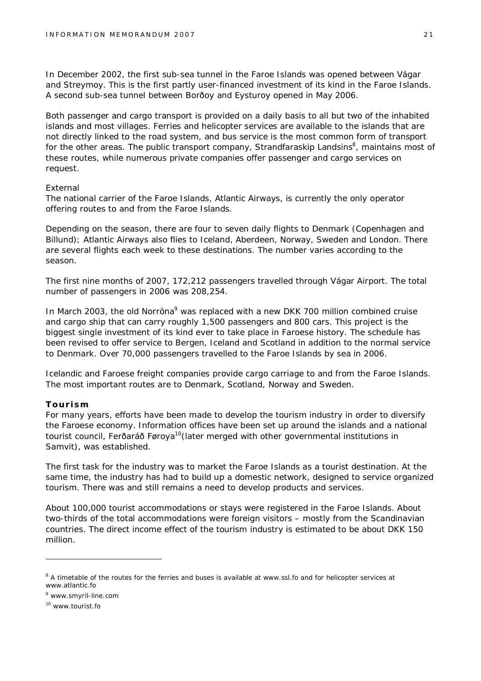In December 2002, the first sub-sea tunnel in the Faroe Islands was opened between Vágar and Streymoy. This is the first partly user-financed investment of its kind in the Faroe Islands. A second sub-sea tunnel between Borðoy and Eysturoy opened in May 2006.

Both passenger and cargo transport is provided on a daily basis to all but two of the inhabited islands and most villages. Ferries and helicopter services are available to the islands that are not directly linked to the road system, and bus service is the most common form of transport for the other areas. The public transport company, Strandfaraskip Landsins<sup>8</sup>, maintains most of these routes, while numerous private companies offer passenger and cargo services on request.

#### *External*

The national carrier of the Faroe Islands, Atlantic Airways, is currently the only operator offering routes to and from the Faroe Islands.

Depending on the season, there are four to seven daily flights to Denmark (Copenhagen and Billund); Atlantic Airways also flies to Iceland, Aberdeen, Norway, Sweden and London. There are several flights each week to these destinations. The number varies according to the season.

The first nine months of 2007, 172,212 passengers travelled through Vágar Airport. The total number of passengers in 2006 was 208,254.

In March 2003, the old Norröna<sup>9</sup> was replaced with a new DKK 700 million combined cruise and cargo ship that can carry roughly 1,500 passengers and 800 cars. This project is the biggest single investment of its kind ever to take place in Faroese history. The schedule has been revised to offer service to Bergen, Iceland and Scotland in addition to the normal service to Denmark. Over 70,000 passengers travelled to the Faroe Islands by sea in 2006.

Icelandic and Faroese freight companies provide cargo carriage to and from the Faroe Islands. The most important routes are to Denmark, Scotland, Norway and Sweden.

#### **Tourism**

For many years, efforts have been made to develop the tourism industry in order to diversify the Faroese economy. Information offices have been set up around the islands and a national tourist council, Ferðaráð Føroya<sup>10</sup> (later merged with other governmental institutions in Samvit), was established.

The first task for the industry was to market the Faroe Islands as a tourist destination. At the same time, the industry has had to build up a domestic network, designed to service organized tourism. There was and still remains a need to develop products and services.

About 100,000 tourist accommodations or stays were registered in the Faroe Islands. About two-thirds of the total accommodations were foreign visitors – mostly from the Scandinavian countries. The direct income effect of the tourism industry is estimated to be about DKK 150 million.

<sup>&</sup>lt;sup>8</sup> A timetable of the routes for the ferries and buses is available at [www.ssl.fo](http://www.ssl.fo) and for helicopter services at [www.atlantic.fo](http://www.atlantic.fo)

<sup>9</sup> [www.smyril-line.com](http://www.smyril-line.com)

<sup>10</sup> [www.tourist.fo](http://www.tourist.fo)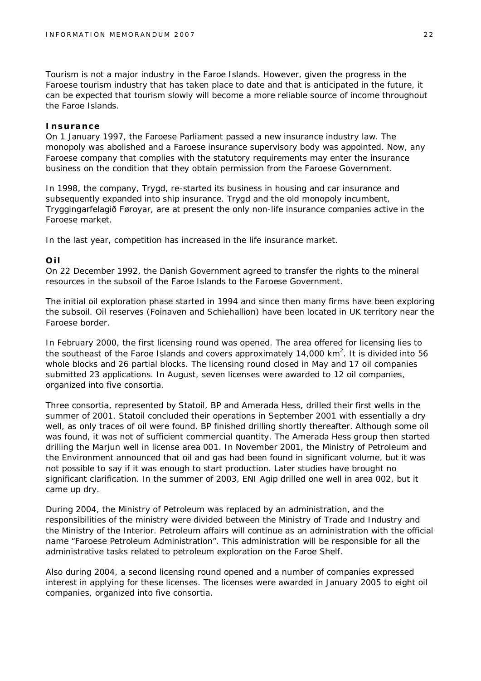Tourism is not a major industry in the Faroe Islands. However, given the progress in the Faroese tourism industry that has taken place to date and that is anticipated in the future, it can be expected that tourism slowly will become a more reliable source of income throughout the Faroe Islands.

#### **Insurance**

On 1 January 1997, the Faroese Parliament passed a new insurance industry law. The monopoly was abolished and a Faroese insurance supervisory body was appointed. Now, any Faroese company that complies with the statutory requirements may enter the insurance business on the condition that they obtain permission from the Faroese Government.

In 1998, the company, Trygd, re-started its business in housing and car insurance and subsequently expanded into ship insurance. Trygd and the old monopoly incumbent, Tryggingarfelagið Føroyar, are at present the only non-life insurance companies active in the Faroese market.

In the last year, competition has increased in the life insurance market.

#### **Oil**

On 22 December 1992, the Danish Government agreed to transfer the rights to the mineral resources in the subsoil of the Faroe Islands to the Faroese Government.

The initial oil exploration phase started in 1994 and since then many firms have been exploring the subsoil. Oil reserves (Foinaven and Schiehallion) have been located in UK territory near the Faroese border.

In February 2000, the first licensing round was opened. The area offered for licensing lies to the southeast of the Faroe Islands and covers approximately 14,000  $km^2$ . It is divided into 56 whole blocks and 26 partial blocks. The licensing round closed in May and 17 oil companies submitted 23 applications. In August, seven licenses were awarded to 12 oil companies, organized into five consortia.

Three consortia, represented by Statoil, BP and Amerada Hess, drilled their first wells in the summer of 2001. Statoil concluded their operations in September 2001 with essentially a dry well, as only traces of oil were found. BP finished drilling shortly thereafter. Although some oil was found, it was not of sufficient commercial quantity. The Amerada Hess group then started drilling the Marjun well in license area 001. In November 2001, the Ministry of Petroleum and the Environment announced that oil and gas had been found in significant volume, but it was not possible to say if it was enough to start production. Later studies have brought no significant clarification. In the summer of 2003, ENI Agip drilled one well in area 002, but it came up dry.

During 2004, the Ministry of Petroleum was replaced by an administration, and the responsibilities of the ministry were divided between the Ministry of Trade and Industry and the Ministry of the Interior. Petroleum affairs will continue as an administration with the official name "Faroese Petroleum Administration". This administration will be responsible for all the administrative tasks related to petroleum exploration on the Faroe Shelf.

Also during 2004, a second licensing round opened and a number of companies expressed interest in applying for these licenses. The licenses were awarded in January 2005 to eight oil companies, organized into five consortia.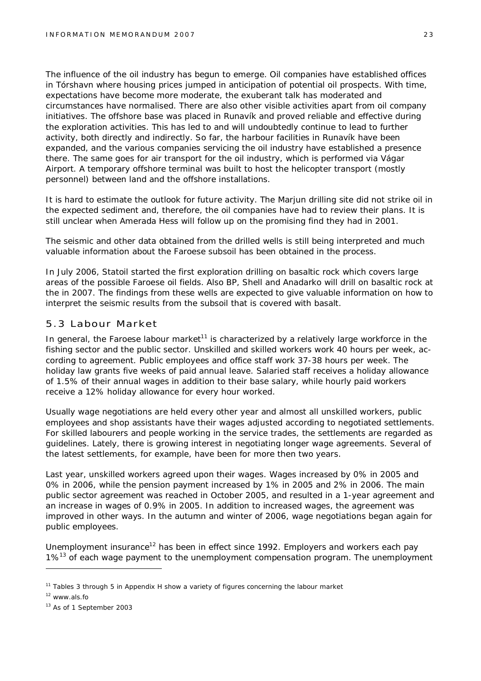The influence of the oil industry has begun to emerge. Oil companies have established offices in Tórshavn where housing prices jumped in anticipation of potential oil prospects. With time, expectations have become more moderate, the exuberant talk has moderated and circumstances have normalised. There are also other visible activities apart from oil company initiatives. The offshore base was placed in Runavík and proved reliable and effective during the exploration activities. This has led to and will undoubtedly continue to lead to further activity, both directly and indirectly. So far, the harbour facilities in Runavík have been expanded, and the various companies servicing the oil industry have established a presence there. The same goes for air transport for the oil industry, which is performed via Vágar Airport. A temporary offshore terminal was built to host the helicopter transport (mostly personnel) between land and the offshore installations.

It is hard to estimate the outlook for future activity. The Marjun drilling site did not strike oil in the expected sediment and, therefore, the oil companies have had to review their plans. It is still unclear when Amerada Hess will follow up on the promising find they had in 2001.

The seismic and other data obtained from the drilled wells is still being interpreted and much valuable information about the Faroese subsoil has been obtained in the process.

In July 2006, Statoil started the first exploration drilling on basaltic rock which covers large areas of the possible Faroese oil fields. Also BP, Shell and Anadarko will drill on basaltic rock at the in 2007. The findings from these wells are expected to give valuable information on how to interpret the seismic results from the subsoil that is covered with basalt.

#### 5.3 Labour Market

In general, the Faroese labour market<sup>11</sup> is characterized by a relatively large workforce in the fishing sector and the public sector. Unskilled and skilled workers work 40 hours per week, according to agreement. Public employees and office staff work 37-38 hours per week. The holiday law grants five weeks of paid annual leave. Salaried staff receives a holiday allowance of 1.5% of their annual wages in addition to their base salary, while hourly paid workers receive a 12% holiday allowance for every hour worked.

Usually wage negotiations are held every other year and almost all unskilled workers, public employees and shop assistants have their wages adjusted according to negotiated settlements. For skilled labourers and people working in the service trades, the settlements are regarded as guidelines. Lately, there is growing interest in negotiating longer wage agreements. Several of the latest settlements, for example, have been for more then two years.

Last year, unskilled workers agreed upon their wages. Wages increased by 0% in 2005 and 0% in 2006, while the pension payment increased by 1% in 2005 and 2% in 2006. The main public sector agreement was reached in October 2005, and resulted in a 1-year agreement and an increase in wages of 0.9% in 2005. In addition to increased wages, the agreement was improved in other ways. In the autumn and winter of 2006, wage negotiations began again for public employees.

Unemployment insurance<sup>12</sup> has been in effect since 1992. Employers and workers each pay  $1\%$ <sup>13</sup> of each wage payment to the unemployment compensation program. The unemployment

<sup>&</sup>lt;sup>11</sup> Tables 3 through 5 in Appendix H show a variety of figures concerning the labour market

<sup>12</sup> [www.als.fo](http://www.als.fo)

<sup>&</sup>lt;sup>13</sup> As of 1 September 2003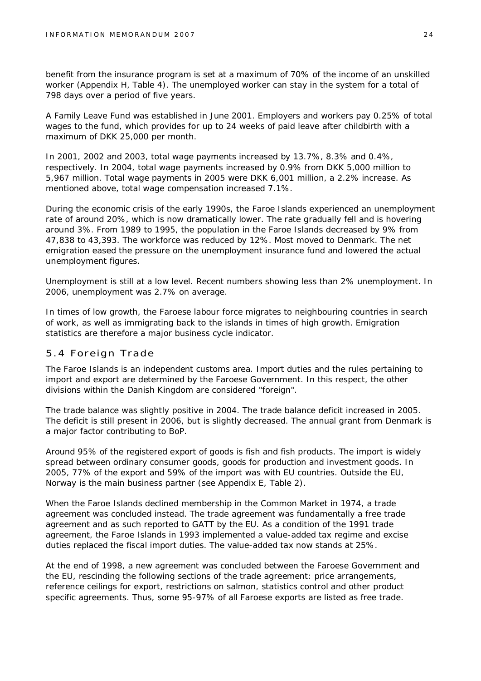benefit from the insurance program is set at a maximum of 70% of the income of an unskilled worker (Appendix H, Table 4). The unemployed worker can stay in the system for a total of 798 days over a period of five years.

A Family Leave Fund was established in June 2001. Employers and workers pay 0.25% of total wages to the fund, which provides for up to 24 weeks of paid leave after childbirth with a maximum of DKK 25,000 per month.

In 2001, 2002 and 2003, total wage payments increased by 13.7%, 8.3% and 0.4%, respectively. In 2004, total wage payments increased by 0.9% from DKK 5,000 million to 5,967 million. Total wage payments in 2005 were DKK 6,001 million, a 2.2% increase. As mentioned above, total wage compensation increased 7.1%.

During the economic crisis of the early 1990s, the Faroe Islands experienced an unemployment rate of around 20%, which is now dramatically lower. The rate gradually fell and is hovering around 3%. From 1989 to 1995, the population in the Faroe Islands decreased by 9% from 47,838 to 43,393. The workforce was reduced by 12%. Most moved to Denmark. The net emigration eased the pressure on the unemployment insurance fund and lowered the actual unemployment figures.

Unemployment is still at a low level. Recent numbers showing less than 2% unemployment. In 2006, unemployment was 2.7% on average.

In times of low growth, the Faroese labour force migrates to neighbouring countries in search of work, as well as immigrating back to the islands in times of high growth. Emigration statistics are therefore a major business cycle indicator.

#### 5.4 Foreign Trade

The Faroe Islands is an independent customs area. Import duties and the rules pertaining to import and export are determined by the Faroese Government. In this respect, the other divisions within the Danish Kingdom are considered "foreign".

The trade balance was slightly positive in 2004. The trade balance deficit increased in 2005. The deficit is still present in 2006, but is slightly decreased. The annual grant from Denmark is a major factor contributing to BoP.

Around 95% of the registered export of goods is fish and fish products. The import is widely spread between ordinary consumer goods, goods for production and investment goods. In 2005, 77% of the export and 59% of the import was with EU countries. Outside the EU, Norway is the main business partner (see Appendix E, Table 2).

When the Faroe Islands declined membership in the Common Market in 1974, a trade agreement was concluded instead. The trade agreement was fundamentally a free trade agreement and as such reported to GATT by the EU. As a condition of the 1991 trade agreement, the Faroe Islands in 1993 implemented a value-added tax regime and excise duties replaced the fiscal import duties. The value-added tax now stands at 25%.

At the end of 1998, a new agreement was concluded between the Faroese Government and the EU, rescinding the following sections of the trade agreement: price arrangements, reference ceilings for export, restrictions on salmon, statistics control and other product specific agreements. Thus, some 95-97% of all Faroese exports are listed as free trade.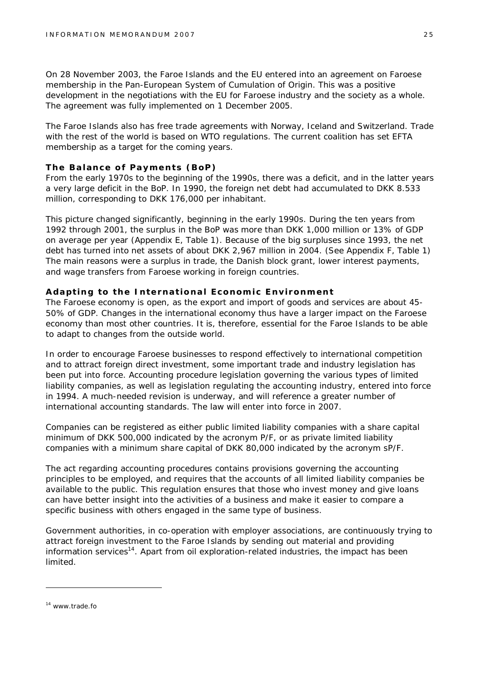On 28 November 2003, the Faroe Islands and the EU entered into an agreement on Faroese membership in the Pan-European System of Cumulation of Origin. This was a positive development in the negotiations with the EU for Faroese industry and the society as a whole. The agreement was fully implemented on 1 December 2005.

The Faroe Islands also has free trade agreements with Norway, Iceland and Switzerland. Trade with the rest of the world is based on WTO regulations. The current coalition has set EFTA membership as a target for the coming years.

#### **The Balance of Payments (BoP)**

From the early 1970s to the beginning of the 1990s, there was a deficit, and in the latter years a very large deficit in the BoP. In 1990, the foreign net debt had accumulated to DKK 8.533 million, corresponding to DKK 176,000 per inhabitant.

This picture changed significantly, beginning in the early 1990s. During the ten years from 1992 through 2001, the surplus in the BoP was more than DKK 1,000 million or 13% of GDP on average per year (Appendix E, Table 1). Because of the big surpluses since 1993, the net debt has turned into net assets of about DKK 2,967 million in 2004. (See Appendix F, Table 1) The main reasons were a surplus in trade, the Danish block grant, lower interest payments, and wage transfers from Faroese working in foreign countries.

#### **Adapting to the International Economic Environment**

The Faroese economy is open, as the export and import of goods and services are about 45- 50% of GDP. Changes in the international economy thus have a larger impact on the Faroese economy than most other countries. It is, therefore, essential for the Faroe Islands to be able to adapt to changes from the outside world.

In order to encourage Faroese businesses to respond effectively to international competition and to attract foreign direct investment, some important trade and industry legislation has been put into force. Accounting procedure legislation governing the various types of limited liability companies, as well as legislation regulating the accounting industry, entered into force in 1994. A much-needed revision is underway, and will reference a greater number of international accounting standards. The law will enter into force in 2007.

Companies can be registered as either public limited liability companies with a share capital minimum of DKK 500,000 indicated by the acronym P/F, or as private limited liability companies with a minimum share capital of DKK 80,000 indicated by the acronym sP/F.

The act regarding accounting procedures contains provisions governing the accounting principles to be employed, and requires that the accounts of all limited liability companies be available to the public. This regulation ensures that those who invest money and give loans can have better insight into the activities of a business and make it easier to compare a specific business with others engaged in the same type of business.

Government authorities, in co-operation with employer associations, are continuously trying to attract foreign investment to the Faroe Islands by sending out material and providing information services<sup>14</sup>. Apart from oil exploration-related industries, the impact has been limited.

<sup>14</sup> [www.trade.fo](http://www.trade.fo)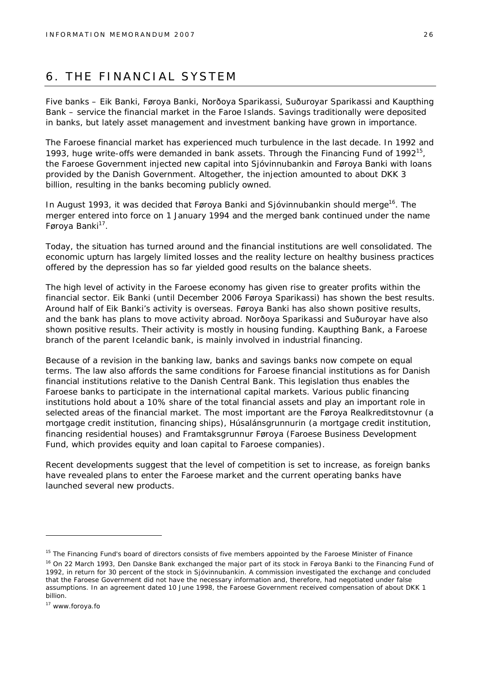## 6. THE FINANCIAL SYSTEM

Five banks – Eik Banki, Føroya Banki, Norðoya Sparikassi, Suðuroyar Sparikassi and Kaupthing Bank – service the financial market in the Faroe Islands. Savings traditionally were deposited in banks, but lately asset management and investment banking have grown in importance.

The Faroese financial market has experienced much turbulence in the last decade. In 1992 and 1993, huge write-offs were demanded in bank assets. Through the Financing Fund of 1992<sup>15</sup>, the Faroese Government injected new capital into Sjóvinnubankin and Føroya Banki with loans provided by the Danish Government. Altogether, the injection amounted to about DKK 3 billion, resulting in the banks becoming publicly owned.

In August 1993, it was decided that Føroya Banki and Sjóvinnubankin should merge<sup>16</sup>. The merger entered into force on 1 January 1994 and the merged bank continued under the name Føroya Banki<sup>17</sup>.

Today, the situation has turned around and the financial institutions are well consolidated. The economic upturn has largely limited losses and the reality lecture on healthy business practices offered by the depression has so far yielded good results on the balance sheets.

The high level of activity in the Faroese economy has given rise to greater profits within the financial sector. Eik Banki (until December 2006 Føroya Sparikassi) has shown the best results. Around half of Eik Banki's activity is overseas. Føroya Banki has also shown positive results, and the bank has plans to move activity abroad. Norðoya Sparikassi and Suðuroyar have also shown positive results. Their activity is mostly in housing funding. Kaupthing Bank, a Faroese branch of the parent Icelandic bank, is mainly involved in industrial financing.

Because of a revision in the banking law, banks and savings banks now compete on equal terms. The law also affords the same conditions for Faroese financial institutions as for Danish financial institutions relative to the Danish Central Bank. This legislation thus enables the Faroese banks to participate in the international capital markets. Various public financing institutions hold about a 10% share of the total financial assets and play an important role in selected areas of the financial market. The most important are the Føroya Realkreditstovnur (a mortgage credit institution, financing ships), Húsalánsgrunnurin (a mortgage credit institution, financing residential houses) and Framtaksgrunnur Føroya (Faroese Business Development Fund, which provides equity and loan capital to Faroese companies).

Recent developments suggest that the level of competition is set to increase, as foreign banks have revealed plans to enter the Faroese market and the current operating banks have launched several new products.

<sup>&</sup>lt;sup>15</sup> The Financing Fund's board of directors consists of five members appointed by the Faroese Minister of Finance

<sup>&</sup>lt;sup>16</sup> On 22 March 1993, Den Danske Bank exchanged the major part of its stock in Føroya Banki to the Financing Fund of 1992, in return for 30 percent of the stock in Sjóvinnubankin. A commission investigated the exchange and concluded that the Faroese Government did not have the necessary information and, therefore, had negotiated under false assumptions. In an agreement dated 10 June 1998, the Faroese Government received compensation of about DKK 1 billion.

<sup>17</sup> [www.foroya.fo](http://www.foroya.fo)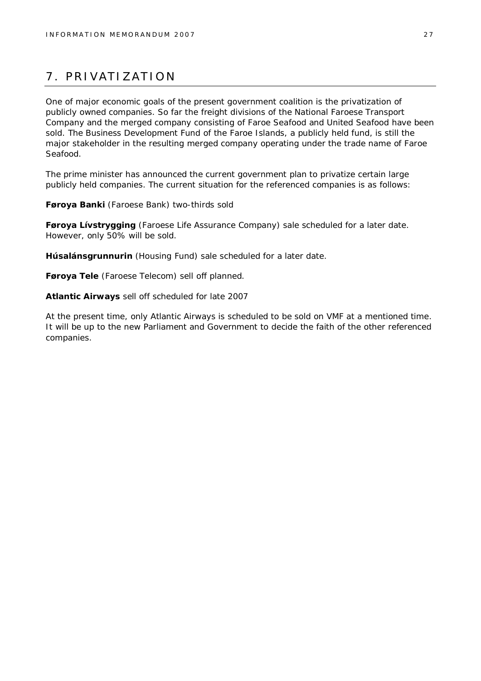## 7. PRIVATIZATION

One of major economic goals of the present government coalition is the privatization of publicly owned companies. So far the freight divisions of the National Faroese Transport Company and the merged company consisting of Faroe Seafood and United Seafood have been sold. The Business Development Fund of the Faroe Islands, a publicly held fund, is still the major stakeholder in the resulting merged company operating under the trade name of Faroe Seafood.

The prime minister has announced the current government plan to privatize certain large publicly held companies. The current situation for the referenced companies is as follows:

**Føroya Banki** (Faroese Bank) two-thirds sold

**Føroya Lívstrygging** (Faroese Life Assurance Company) sale scheduled for a later date. However, only 50% will be sold.

**Húsalánsgrunnurin** (Housing Fund) sale scheduled for a later date.

**Føroya Tele** (Faroese Telecom) sell off planned.

**Atlantic Airways** sell off scheduled for late 2007

At the present time, only Atlantic Airways is scheduled to be sold on VMF at a mentioned time. It will be up to the new Parliament and Government to decide the faith of the other referenced companies.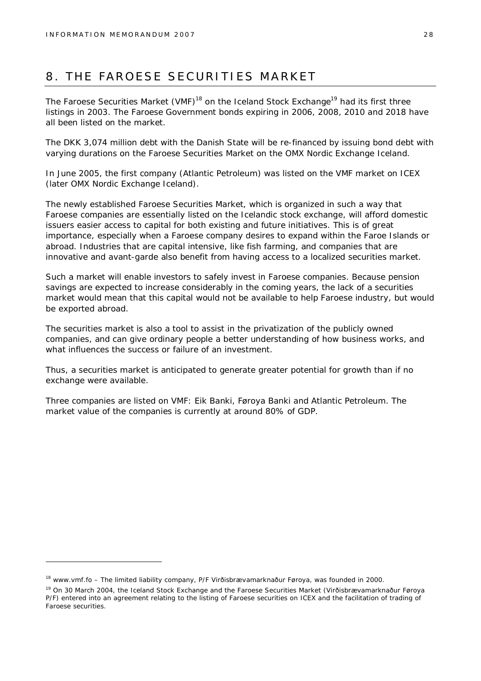## 8. THE FAROESE SECURITIES MARKET

The Faroese Securities Market (VMF)<sup>18</sup> on the Iceland Stock Exchange<sup>19</sup> had its first three listings in 2003. The Faroese Government bonds expiring in 2006, 2008, 2010 and 2018 have all been listed on the market.

The DKK 3,074 million debt with the Danish State will be re-financed by issuing bond debt with varying durations on the Faroese Securities Market on the OMX Nordic Exchange Iceland.

In June 2005, the first company (Atlantic Petroleum) was listed on the VMF market on ICEX (later OMX Nordic Exchange Iceland).

The newly established Faroese Securities Market, which is organized in such a way that Faroese companies are essentially listed on the Icelandic stock exchange, will afford domestic issuers easier access to capital for both existing and future initiatives. This is of great importance, especially when a Faroese company desires to expand within the Faroe Islands or abroad. Industries that are capital intensive, like fish farming, and companies that are innovative and avant-garde also benefit from having access to a localized securities market.

Such a market will enable investors to safely invest in Faroese companies. Because pension savings are expected to increase considerably in the coming years, the lack of a securities market would mean that this capital would not be available to help Faroese industry, but would be exported abroad.

The securities market is also a tool to assist in the privatization of the publicly owned companies, and can give ordinary people a better understanding of how business works, and what influences the success or failure of an investment.

Thus, a securities market is anticipated to generate greater potential for growth than if no exchange were available.

Three companies are listed on VMF: Eik Banki, Føroya Banki and Atlantic Petroleum. The market value of the companies is currently at around 80% of GDP.

<sup>18</sup> [www.vmf.fo](http://www.vmf.fo) – The limited liability company, P/F Virðisbrævamarknaður Føroya, was founded in 2000.

<sup>19</sup> On 30 March 2004, the Iceland Stock Exchange and the Faroese Securities Market (Virðisbrævamarknaður Føroya P/F) entered into an agreement relating to the listing of Faroese securities on ICEX and the facilitation of trading of Faroese securities.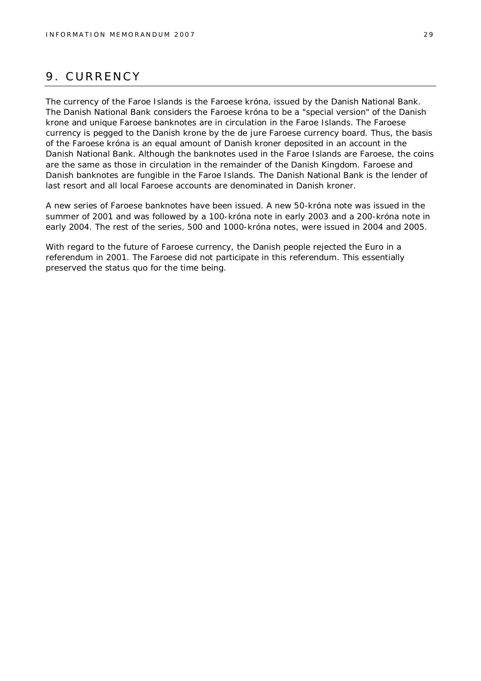## 9. CURRENCY

The currency of the Faroe Islands is the Faroese króna, issued by the Danish National Bank. The Danish National Bank considers the Faroese króna to be a "special version" of the Danish krone and unique Faroese banknotes are in circulation in the Faroe Islands. The Faroese currency is pegged to the Danish krone by the *de jure* Faroese currency board. Thus, the basis of the Faroese króna is an equal amount of Danish kroner deposited in an account in the Danish National Bank. Although the banknotes used in the Faroe Islands are Faroese, the coins are the same as those in circulation in the remainder of the Danish Kingdom. Faroese and Danish banknotes are fungible in the Faroe Islands. The Danish National Bank is the lender of last resort and all local Faroese accounts are denominated in Danish kroner.

A new series of Faroese banknotes have been issued. A new 50-króna note was issued in the summer of 2001 and was followed by a 100-króna note in early 2003 and a 200-króna note in early 2004. The rest of the series, 500 and 1000-króna notes, were issued in 2004 and 2005.

With regard to the future of Faroese currency, the Danish people rejected the Euro in a referendum in 2001. The Faroese did not participate in this referendum. This essentially preserved the status quo for the time being.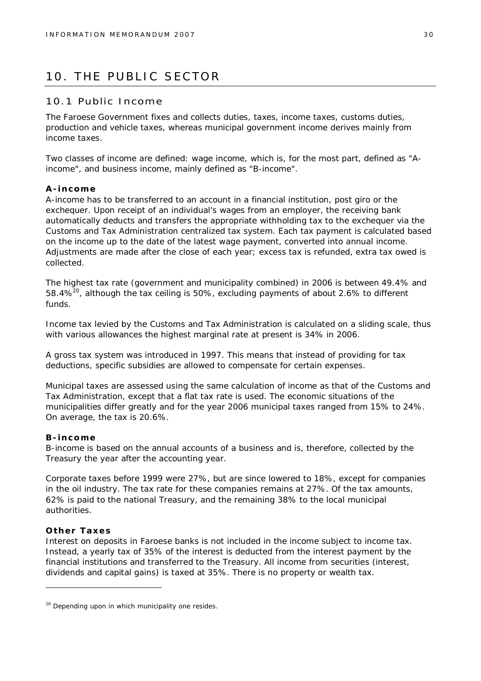## 10. THE PUBLIC SECTOR

#### 10.1 Public Income

The Faroese Government fixes and collects duties, taxes, income taxes, customs duties, production and vehicle taxes, whereas municipal government income derives mainly from income taxes.

Two classes of income are defined: wage income, which is, for the most part, defined as "Aincome", and business income, mainly defined as "B-income".

#### **A-income**

A-income has to be transferred to an account in a financial institution, post giro or the exchequer. Upon receipt of an individual's wages from an employer, the receiving bank automatically deducts and transfers the appropriate withholding tax to the exchequer via the Customs and Tax Administration centralized tax system. Each tax payment is calculated based on the income up to the date of the latest wage payment, converted into annual income. Adjustments are made after the close of each year; excess tax is refunded, extra tax owed is collected.

The highest tax rate (government and municipality combined) in 2006 is between 49.4% and 58.4% $^{20}$ , although the tax ceiling is 50%, excluding payments of about 2.6% to different funds.

Income tax levied by the Customs and Tax Administration is calculated on a sliding scale, thus with various allowances the highest marginal rate at present is 34% in 2006.

A gross tax system was introduced in 1997. This means that instead of providing for tax deductions, specific subsidies are allowed to compensate for certain expenses.

Municipal taxes are assessed using the same calculation of income as that of the Customs and Tax Administration, except that a flat tax rate is used. The economic situations of the municipalities differ greatly and for the year 2006 municipal taxes ranged from 15% to 24%. On average, the tax is 20.6%.

#### **B-income**

B-income is based on the annual accounts of a business and is, therefore, collected by the Treasury the year after the accounting year.

Corporate taxes before 1999 were 27%, but are since lowered to 18%, except for companies in the oil industry. The tax rate for these companies remains at 27%. Of the tax amounts, 62% is paid to the national Treasury, and the remaining 38% to the local municipal authorities.

#### **Other Taxes**

Interest on deposits in Faroese banks is not included in the income subject to income tax. Instead, a yearly tax of 35% of the interest is deducted from the interest payment by the financial institutions and transferred to the Treasury. All income from securities (interest, dividends and capital gains) is taxed at 35%. There is no property or wealth tax.

 $20$  Depending upon in which municipality one resides.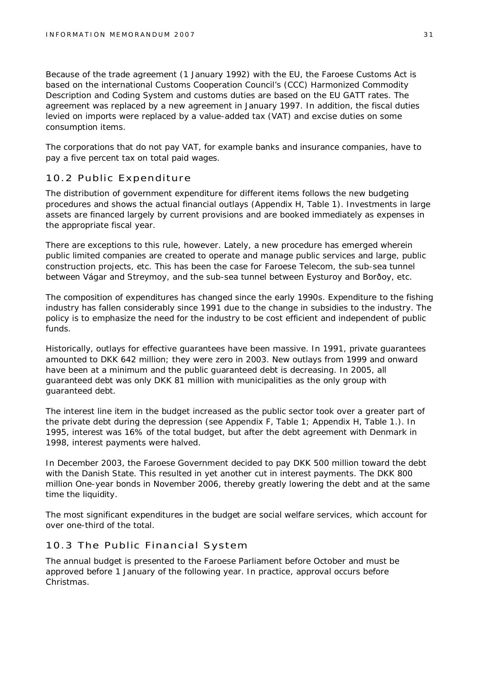Because of the trade agreement (1 January 1992) with the EU, the Faroese Customs Act is based on the international Customs Cooperation Council's (CCC) Harmonized Commodity Description and Coding System and customs duties are based on the EU GATT rates. The agreement was replaced by a new agreement in January 1997. In addition, the fiscal duties levied on imports were replaced by a value-added tax (VAT) and excise duties on some consumption items.

The corporations that do not pay VAT, for example banks and insurance companies, have to pay a five percent tax on total paid wages.

#### 10.2 Public Expenditure

The distribution of government expenditure for different items follows the new budgeting procedures and shows the actual financial outlays (Appendix H, Table 1). Investments in large assets are financed largely by current provisions and are booked immediately as expenses in the appropriate fiscal year.

There are exceptions to this rule, however. Lately, a new procedure has emerged wherein public limited companies are created to operate and manage public services and large, public construction projects, etc. This has been the case for Faroese Telecom, the sub-sea tunnel between Vágar and Streymoy, and the sub-sea tunnel between Eysturoy and Borðoy, etc.

The composition of expenditures has changed since the early 1990s. Expenditure to the fishing industry has fallen considerably since 1991 due to the change in subsidies to the industry. The policy is to emphasize the need for the industry to be cost efficient and independent of public funds.

Historically, outlays for effective guarantees have been massive. In 1991, private guarantees amounted to DKK 642 million; they were zero in 2003. New outlays from 1999 and onward have been at a minimum and the public guaranteed debt is decreasing. In 2005, all guaranteed debt was only DKK 81 million with municipalities as the only group with guaranteed debt.

The interest line item in the budget increased as the public sector took over a greater part of the private debt during the depression (see Appendix F, Table 1; Appendix H, Table 1.). In 1995, interest was 16% of the total budget, but after the debt agreement with Denmark in 1998, interest payments were halved.

In December 2003, the Faroese Government decided to pay DKK 500 million toward the debt with the Danish State. This resulted in yet another cut in interest payments. The DKK 800 million One-year bonds in November 2006, thereby greatly lowering the debt and at the same time the liquidity.

The most significant expenditures in the budget are social welfare services, which account for over one-third of the total.

#### 10.3 The Public Financial System

The annual budget is presented to the Faroese Parliament before October and must be approved before 1 January of the following year. In practice, approval occurs before Christmas.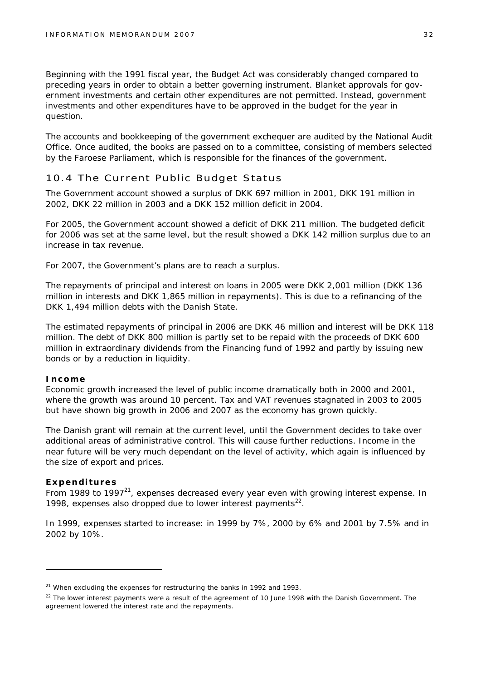Beginning with the 1991 fiscal year, the Budget Act was considerably changed compared to preceding years in order to obtain a better governing instrument. Blanket approvals for government investments and certain other expenditures are not permitted. Instead, government investments and other expenditures have to be approved in the budget for the year in question.

The accounts and bookkeeping of the government exchequer are audited by the National Audit Office. Once audited, the books are passed on to a committee, consisting of members selected by the Faroese Parliament, which is responsible for the finances of the government.

#### 10.4 The Current Public Budget Status

The Government account showed a surplus of DKK 697 million in 2001, DKK 191 million in 2002, DKK 22 million in 2003 and a DKK 152 million deficit in 2004.

For 2005, the Government account showed a deficit of DKK 211 million. The budgeted deficit for 2006 was set at the same level, but the result showed a DKK 142 million surplus due to an increase in tax revenue.

For 2007, the Government's plans are to reach a surplus.

The repayments of principal and interest on loans in 2005 were DKK 2,001 million (DKK 136 million in interests and DKK 1,865 million in repayments). This is due to a refinancing of the DKK 1,494 million debts with the Danish State.

The estimated repayments of principal in 2006 are DKK 46 million and interest will be DKK 118 million. The debt of DKK 800 million is partly set to be repaid with the proceeds of DKK 600 million in extraordinary dividends from the Financing fund of 1992 and partly by issuing new bonds or by a reduction in liquidity.

#### **Income**

Economic growth increased the level of public income dramatically both in 2000 and 2001, where the growth was around 10 percent. Tax and VAT revenues stagnated in 2003 to 2005 but have shown big growth in 2006 and 2007 as the economy has grown quickly.

The Danish grant will remain at the current level, until the Government decides to take over additional areas of administrative control. This will cause further reductions. Income in the near future will be very much dependant on the level of activity, which again is influenced by the size of export and prices.

#### **Expenditures**

From 1989 to 1997 $^{21}$ , expenses decreased every year even with growing interest expense. In 1998, expenses also dropped due to lower interest payments<sup>22</sup>.

In 1999, expenses started to increase: in 1999 by 7%, 2000 by 6% and 2001 by 7.5% and in 2002 by 10%.

 $21$  When excluding the expenses for restructuring the banks in 1992 and 1993.

 $22$  The lower interest payments were a result of the agreement of 10 June 1998 with the Danish Government. The agreement lowered the interest rate and the repayments.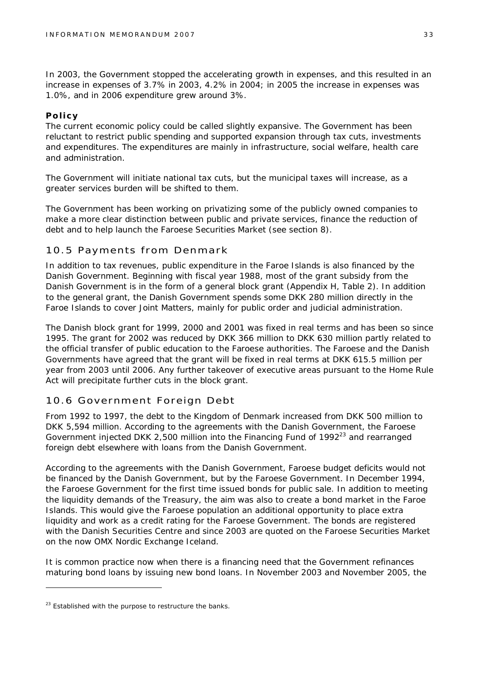In 2003, the Government stopped the accelerating growth in expenses, and this resulted in an increase in expenses of 3.7% in 2003, 4.2% in 2004; in 2005 the increase in expenses was 1.0%, and in 2006 expenditure grew around 3%.

#### **Policy**

The current economic policy could be called slightly expansive. The Government has been reluctant to restrict public spending and supported expansion through tax cuts, investments and expenditures. The expenditures are mainly in infrastructure, social welfare, health care and administration.

The Government will initiate national tax cuts, but the municipal taxes will increase, as a greater services burden will be shifted to them.

The Government has been working on privatizing some of the publicly owned companies to make a more clear distinction between public and private services, finance the reduction of debt and to help launch the Faroese Securities Market (see section 8).

#### 10.5 Payments from Denmark

In addition to tax revenues, public expenditure in the Faroe Islands is also financed by the Danish Government. Beginning with fiscal year 1988, most of the grant subsidy from the Danish Government is in the form of a general block grant (Appendix H, Table 2). In addition to the general grant, the Danish Government spends some DKK 280 million directly in the Faroe Islands to cover Joint Matters, mainly for public order and judicial administration.

The Danish block grant for 1999, 2000 and 2001 was fixed in real terms and has been so since 1995. The grant for 2002 was reduced by DKK 366 million to DKK 630 million partly related to the official transfer of public education to the Faroese authorities. The Faroese and the Danish Governments have agreed that the grant will be fixed in real terms at DKK 615.5 million per year from 2003 until 2006. Any further takeover of executive areas pursuant to the Home Rule Act will precipitate further cuts in the block grant.

#### 10.6 Government Foreign Debt

From 1992 to 1997, the debt to the Kingdom of Denmark increased from DKK 500 million to DKK 5,594 million. According to the agreements with the Danish Government, the Faroese Government injected DKK 2,500 million into the Financing Fund of 1992<sup>23</sup> and rearranged foreign debt elsewhere with loans from the Danish Government.

According to the agreements with the Danish Government, Faroese budget deficits would not be financed by the Danish Government, but by the Faroese Government. In December 1994, the Faroese Government for the first time issued bonds for public sale. In addition to meeting the liquidity demands of the Treasury, the aim was also to create a bond market in the Faroe Islands. This would give the Faroese population an additional opportunity to place extra liquidity and work as a credit rating for the Faroese Government. The bonds are registered with the Danish Securities Centre and since 2003 are quoted on the Faroese Securities Market on the now OMX Nordic Exchange Iceland.

It is common practice now when there is a financing need that the Government refinances maturing bond loans by issuing new bond loans. In November 2003 and November 2005, the

 $23$  Established with the purpose to restructure the banks.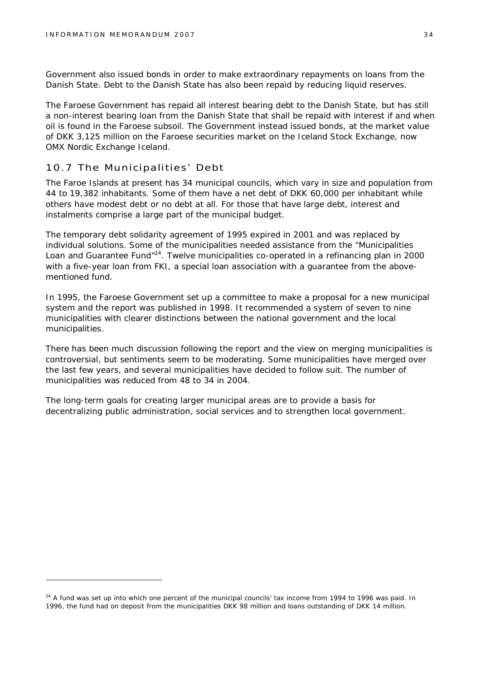Government also issued bonds in order to make extraordinary repayments on loans from the Danish State. Debt to the Danish State has also been repaid by reducing liquid reserves.

The Faroese Government has repaid all interest bearing debt to the Danish State, but has still a non-interest bearing loan from the Danish State that shall be repaid with interest if and when oil is found in the Faroese subsoil. The Government instead issued bonds, at the market value of DKK 3,125 million on the Faroese securities market on the Iceland Stock Exchange, now OMX Nordic Exchange Iceland.

#### 10.7 The Municipalities' Debt

The Faroe Islands at present has 34 municipal councils, which vary in size and population from 44 to 19,382 inhabitants. Some of them have a net debt of DKK 60,000 per inhabitant while others have modest debt or no debt at all. For those that have large debt, interest and instalments comprise a large part of the municipal budget.

The temporary debt solidarity agreement of 1995 expired in 2001 and was replaced by individual solutions. Some of the municipalities needed assistance from the "Municipalities Loan and Guarantee Fund<sup>"24</sup>. Twelve municipalities co-operated in a refinancing plan in 2000 with a five-year loan from FKI, a special loan association with a guarantee from the abovementioned fund.

In 1995, the Faroese Government set up a committee to make a proposal for a new municipal system and the report was published in 1998. It recommended a system of seven to nine municipalities with clearer distinctions between the national government and the local municipalities.

There has been much discussion following the report and the view on merging municipalities is controversial, but sentiments seem to be moderating. Some municipalities have merged over the last few years, and several municipalities have decided to follow suit. The number of municipalities was reduced from 48 to 34 in 2004.

The long-term goals for creating larger municipal areas are to provide a basis for decentralizing public administration, social services and to strengthen local government.

 $24$  A fund was set up into which one percent of the municipal councils' tax income from 1994 to 1996 was paid. In 1996, the fund had on deposit from the municipalities DKK 98 million and loans outstanding of DKK 14 million.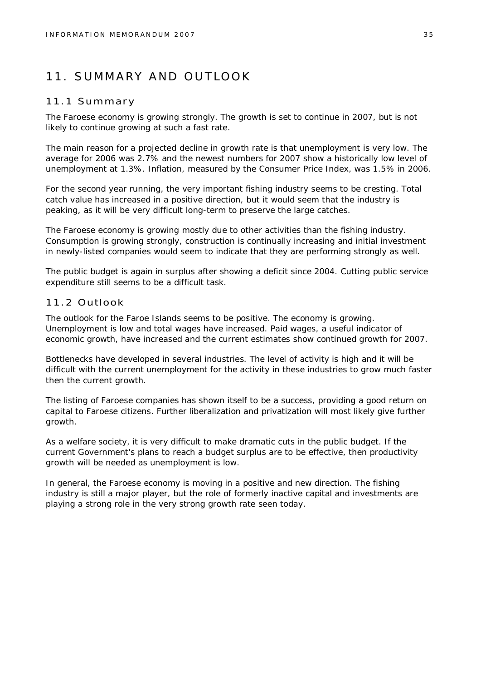## 11. SUMMARY AND OUTLOOK

#### 11.1 Summary

The Faroese economy is growing strongly. The growth is set to continue in 2007, but is not likely to continue growing at such a fast rate.

The main reason for a projected decline in growth rate is that unemployment is very low. The average for 2006 was 2.7% and the newest numbers for 2007 show a historically low level of unemployment at 1.3%. Inflation, measured by the Consumer Price Index, was 1.5% in 2006.

For the second year running, the very important fishing industry seems to be cresting. Total catch value has increased in a positive direction, but it would seem that the industry is peaking, as it will be very difficult long-term to preserve the large catches.

The Faroese economy is growing mostly due to other activities than the fishing industry. Consumption is growing strongly, construction is continually increasing and initial investment in newly-listed companies would seem to indicate that they are performing strongly as well.

The public budget is again in surplus after showing a deficit since 2004. Cutting public service expenditure still seems to be a difficult task.

#### 11.2 Outlook

The outlook for the Faroe Islands seems to be positive. The economy is growing. Unemployment is low and total wages have increased. Paid wages, a useful indicator of economic growth, have increased and the current estimates show continued growth for 2007.

Bottlenecks have developed in several industries. The level of activity is high and it will be difficult with the current unemployment for the activity in these industries to grow much faster then the current growth.

The listing of Faroese companies has shown itself to be a success, providing a good return on capital to Faroese citizens. Further liberalization and privatization will most likely give further growth.

As a welfare society, it is very difficult to make dramatic cuts in the public budget. If the current Government's plans to reach a budget surplus are to be effective, then productivity growth will be needed as unemployment is low.

In general, the Faroese economy is moving in a positive and new direction. The fishing industry is still a major player, but the role of formerly inactive capital and investments are playing a strong role in the very strong growth rate seen today.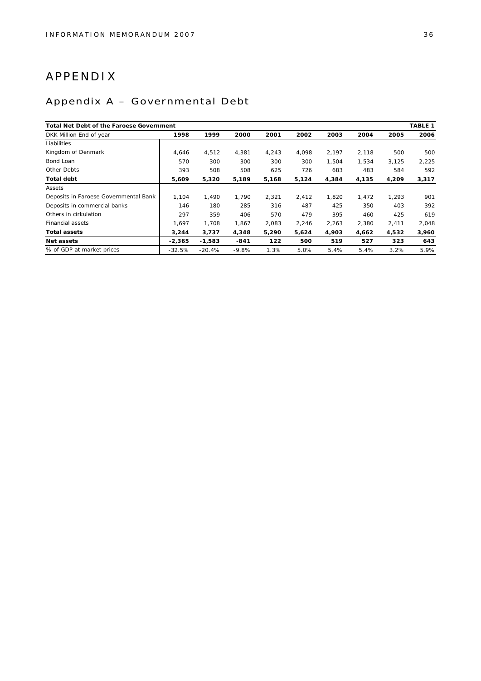## APPENDIX

## Appendix A – Governmental Debt

| Total Net Debt of the Faroese Government |          |          |         |       |       |       |       |       | TABLE 1 |
|------------------------------------------|----------|----------|---------|-------|-------|-------|-------|-------|---------|
| DKK Million End of year                  | 1998     | 1999     | 2000    | 2001  | 2002  | 2003  | 2004  | 2005  | 2006    |
| Liabilities                              |          |          |         |       |       |       |       |       |         |
| Kingdom of Denmark                       | 4,646    | 4,512    | 4,381   | 4.243 | 4.098 | 2.197 | 2,118 | 500   | 500     |
| Bond Loan                                | 570      | 300      | 300     | 300   | 300   | 1,504 | 1,534 | 3,125 | 2,225   |
| Other Debts                              | 393      | 508      | 508     | 625   | 726   | 683   | 483   | 584   | 592     |
| Total debt                               | 5,609    | 5,320    | 5,189   | 5,168 | 5,124 | 4,384 | 4,135 | 4,209 | 3,317   |
| Assets                                   |          |          |         |       |       |       |       |       |         |
| Deposits in Faroese Governmental Bank    | 1,104    | 1,490    | 1,790   | 2,321 | 2,412 | 1,820 | 1,472 | 1,293 | 901     |
| Deposits in commercial banks             | 146      | 180      | 285     | 316   | 487   | 425   | 350   | 403   | 392     |
| Others in cirkulation                    | 297      | 359      | 406     | 570   | 479   | 395   | 460   | 425   | 619     |
| <b>Financial assets</b>                  | 1.697    | 1.708    | 1.867   | 2,083 | 2,246 | 2,263 | 2,380 | 2,411 | 2,048   |
| Total assets                             | 3,244    | 3,737    | 4,348   | 5,290 | 5,624 | 4,903 | 4,662 | 4,532 | 3,960   |
| Net assets                               | $-2.365$ | $-1,583$ | $-841$  | 122   | 500   | 519   | 527   | 323   | 643     |
| % of GDP at market prices                | $-32.5%$ | $-20.4%$ | $-9.8%$ | 1.3%  | 5.0%  | 5.4%  | 5.4%  | 3.2%  | 5.9%    |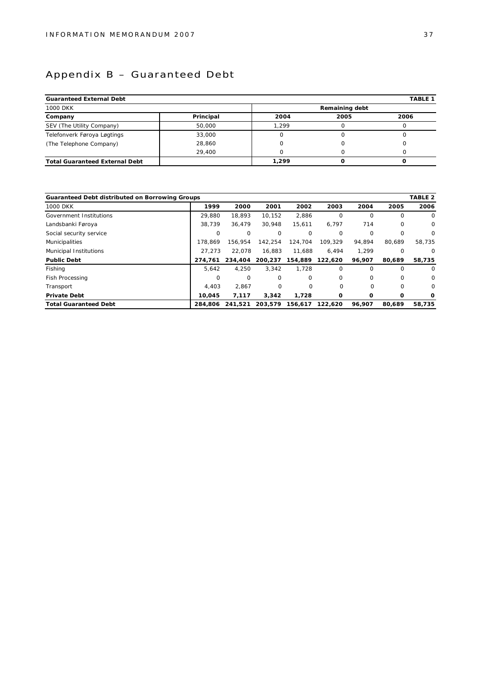## Appendix B – Guaranteed Debt

| Guaranteed External Debt              |           |       |                | TABLE 1 |  |  |  |  |
|---------------------------------------|-----------|-------|----------------|---------|--|--|--|--|
| <b>1000 DKK</b>                       |           |       | Remaining debt |         |  |  |  |  |
| Company                               | Principal | 2004  | 2005           | 2006    |  |  |  |  |
| SEV (The Utility Company)             | 50,000    | 1.299 |                |         |  |  |  |  |
| Telefonverk Føroya Løgtings           | 33,000    |       |                |         |  |  |  |  |
| (The Telephone Company)               | 28,860    |       |                |         |  |  |  |  |
|                                       | 29,400    |       |                |         |  |  |  |  |
| <b>Total Guaranteed External Debt</b> |           | 1.299 |                |         |  |  |  |  |

| Guaranteed Debt distributed on Borrowing Groups |          |          |          |             |          |          |          | TABLE <sub>2</sub> |
|-------------------------------------------------|----------|----------|----------|-------------|----------|----------|----------|--------------------|
| <b>1000 DKK</b>                                 | 1999     | 2000     | 2001     | 2002        | 2003     | 2004     | 2005     | 2006               |
| Government Institutions                         | 29.880   | 18.893   | 10,152   | 2,886       | $\Omega$ | $\Omega$ | 0        | 0                  |
| Landsbanki Føroya                               | 38.739   | 36.479   | 30.948   | 15.611      | 6.797    | 714      | $\Omega$ | $\mathbf 0$        |
| Social security service                         | $\Omega$ | $\Omega$ | $\Omega$ | 0           | 0        | $\circ$  | 0        | 0                  |
| <b>Municipalities</b>                           | 178.869  | 156.954  | 142,254  | 124.704     | 109.329  | 94.894   | 80.689   | 58.735             |
| Municipal Institutions                          | 27.273   | 22.078   | 16,883   | 11.688      | 6.494    | 1,299    | 0        | $\circ$            |
| Public Debt                                     | 274.761  | 234.404  | 200.237  | 154.889     | 122,620  | 96.907   | 80.689   | 58,735             |
| Fishing                                         | 5.642    | 4.250    | 3.342    | 1.728       | $\Omega$ | $\Omega$ | $\Omega$ | $\Omega$           |
| Fish Processing                                 | $\Omega$ | $\Omega$ | $\Omega$ | $\mathbf 0$ | 0        | $\circ$  | $\Omega$ | 0                  |
| Transport                                       | 4.403    | 2.867    | $\Omega$ | $\Omega$    | O        | $\Omega$ | $\Omega$ | 0                  |
| Private Debt                                    | 10.045   | 7,117    | 3.342    | 1,728       | O        | Ω        | O        | $\Omega$           |
| <b>Total Guaranteed Debt</b>                    | 284,806  | 241.521  | 203.579  | 156,617     | 122.620  | 96.907   | 80.689   | 58.735             |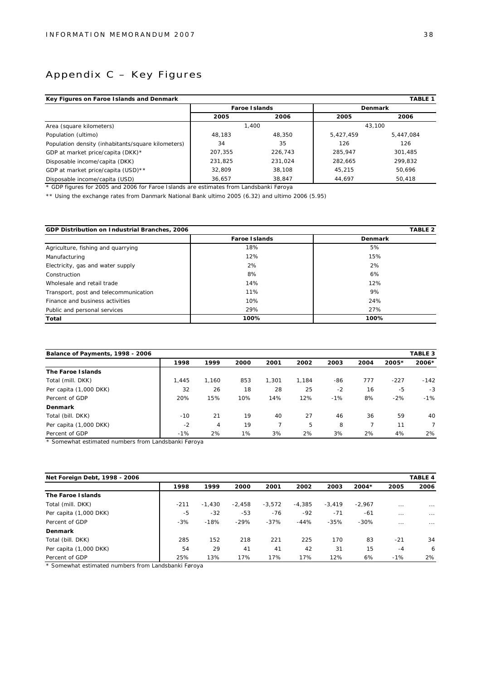## Appendix C – Key Figures

| Key Figures on Faroe Islands and Denmark<br><b>TABLE 1</b> |         |               |           |           |  |  |  |  |
|------------------------------------------------------------|---------|---------------|-----------|-----------|--|--|--|--|
|                                                            |         | Faroe Islands |           | Denmark   |  |  |  |  |
|                                                            | 2005    | 2006          | 2005      | 2006      |  |  |  |  |
| Area (square kilometers)                                   |         | 1.400         |           | 43.100    |  |  |  |  |
| Population (ultimo)                                        | 48.183  | 48.350        | 5.427.459 | 5.447.084 |  |  |  |  |
| Population density (inhabitants/square kilometers)         | 34      | 35            | 126       | 126       |  |  |  |  |
| GDP at market price/capita (DKK)*                          | 207.355 | 226.743       | 285.947   | 301.485   |  |  |  |  |
| Disposable income/capita (DKK)                             | 231,825 | 231,024       | 282.665   | 299.832   |  |  |  |  |
| GDP at market price/capita (USD) **                        | 32.809  | 38,108        | 45.215    | 50.696    |  |  |  |  |
| Disposable income/capita (USD)                             | 36,657  | 38,847        | 44,697    | 50,418    |  |  |  |  |

\* GDP figures for 2005 and 2006 for Faroe Islands are estimates from Landsbanki Føroya

\*\* Using the exchange rates from Danmark National Bank ultimo 2005 (6.32) and ultimo 2006 (5.95)

| GDP Distribution on Industrial Branches, 2006 |               | TABLE <sub>2</sub> |
|-----------------------------------------------|---------------|--------------------|
|                                               | Faroe Islands | Denmark            |
| Agriculture, fishing and quarrying            | 18%           | 5%                 |
| Manufacturing                                 | 12%           | 15%                |
| Electricity, gas and water supply             | 2%            | 2%                 |
| Construction                                  | 8%            | 6%                 |
| Wholesale and retail trade                    | 14%           | 12%                |
| Transport, post and telecommunication         | 11%           | 9%                 |
| Finance and business activities               | 10%           | 24%                |
| Public and personal services                  | 29%           | 27%                |
| Total                                         | 100%          | 100%               |

|                        | TABLE 3<br>Balance of Payments, 1998 - 2006 |       |      |       |       |       |      |        |                |  |
|------------------------|---------------------------------------------|-------|------|-------|-------|-------|------|--------|----------------|--|
|                        | 1998                                        | 1999  | 2000 | 2001  | 2002  | 2003  | 2004 | 2005*  | $2006*$        |  |
| The Faroe I slands     |                                             |       |      |       |       |       |      |        |                |  |
| Total (mill. DKK)      | 1.445                                       | 1.160 | 853  | 1.301 | 1.184 | -86   | 777  | $-227$ | $-142$         |  |
| Per capita (1,000 DKK) | 32                                          | 26    | 18   | 28    | 25    | $-2$  | 16   | $-5$   | $-3$           |  |
| Percent of GDP         | 20%                                         | 15%   | 10%  | 14%   | 12%   | $-1%$ | 8%   | $-2%$  | $-1%$          |  |
| Denmark                |                                             |       |      |       |       |       |      |        |                |  |
| Total (bill. DKK)      | $-10$                                       | 21    | 19   | 40    | 27    | 46    | 36   | 59     | 40             |  |
| Per capita (1,000 DKK) | $-2$                                        | 4     | 19   |       | 5     | 8     |      | 11     | $\overline{7}$ |  |
| Percent of GDP         | $-1%$                                       | 2%    | 1%   | 3%    | 2%    | 3%    | 2%   | 4%     | 2%             |  |

\* Somewhat estimated numbers from Landsbanki Føroya

| Net Foreign Debt, 1998 - 2006 | TABLE 4 |          |          |          |          |          |          |          |          |  |
|-------------------------------|---------|----------|----------|----------|----------|----------|----------|----------|----------|--|
|                               | 1998    | 1999     | 2000     | 2001     | 2002     | 2003     | $2004*$  | 2005     | 2006     |  |
| The Faroe Islands             |         |          |          |          |          |          |          |          |          |  |
| Total (mill. DKK)             | $-211$  | $-1.430$ | $-2.458$ | $-3.572$ | $-4.385$ | $-3.419$ | $-2.967$ | $\cdots$ | $\cdots$ |  |
| Per capita (1,000 DKK)        | $-5$    | $-32$    | $-53$    | $-76$    | $-92$    | $-71$    | $-61$    | $\cdots$ | $\cdots$ |  |
| Percent of GDP                | $-3%$   | $-18%$   | $-29%$   | $-37%$   | $-44%$   | $-35%$   | $-30%$   | $\cdots$ | $\cdots$ |  |
| Denmark                       |         |          |          |          |          |          |          |          |          |  |
| Total (bill. DKK)             | 285     | 152      | 218      | 221      | 225      | 170      | 83       | $-21$    | 34       |  |
| Per capita (1,000 DKK)        | 54      | 29       | 41       | 41       | 42       | 31       | 15       | $-4$     | 6        |  |
| Percent of GDP                | 25%     | 13%      | 17%      | 17%      | 17%      | 12%      | 6%       | $-1%$    | 2%       |  |

\* Somewhat estimated numbers from Landsbanki Føroya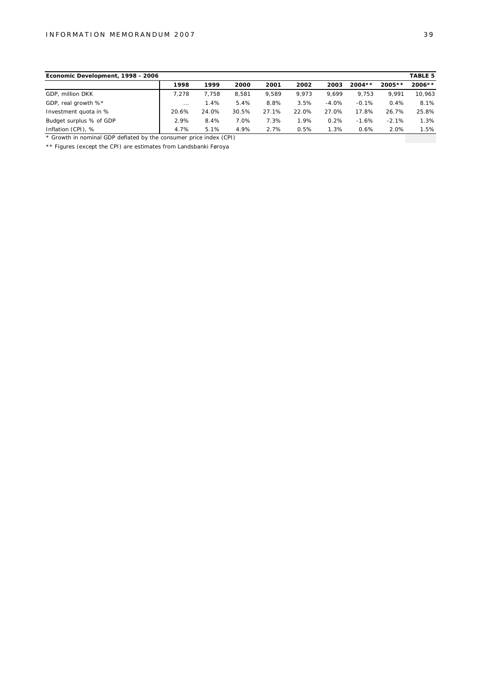| Economic Development, 1998 - 2006 |          |       |       |       |       |          |          |          | TABLE 5  |
|-----------------------------------|----------|-------|-------|-------|-------|----------|----------|----------|----------|
|                                   | 1998     | 1999  | 2000  | 2001  | 2002  | 2003     | $2004**$ | $2005**$ | $2006**$ |
| GDP. million DKK                  | 7.278    | 7.758 | 8.581 | 9.589 | 9.973 | 9.699    | 9.753    | 9.991    | 10,963   |
| GDP, real growth %*               | $\cdots$ | 1.4%  | 5.4%  | 8.8%  | 3.5%  | $-4.0\%$ | $-0.1%$  | 0.4%     | 8.1%     |
| Investment quota in %             | 20.6%    | 24.0% | 30.5% | 27.1% | 22.0% | 27.0%    | 17.8%    | 26.7%    | 25.8%    |
| Budget surplus % of GDP           | 2.9%     | 8.4%  | 7.0%  | 7.3%  | 1.9%  | 0.2%     | $-1.6%$  | $-2.1%$  | 1.3%     |
| Inflation (CPI), %                | 4.7%     | 5.1%  | 4.9%  | 2.7%  | 0.5%  | 1.3%     | 0.6%     | 2.0%     | 1.5%     |

\* Growth in nominal GDP deflated by the consumer price index (CPI)

\*\* Figures (except the CPI) are estimates from Landsbanki Føroya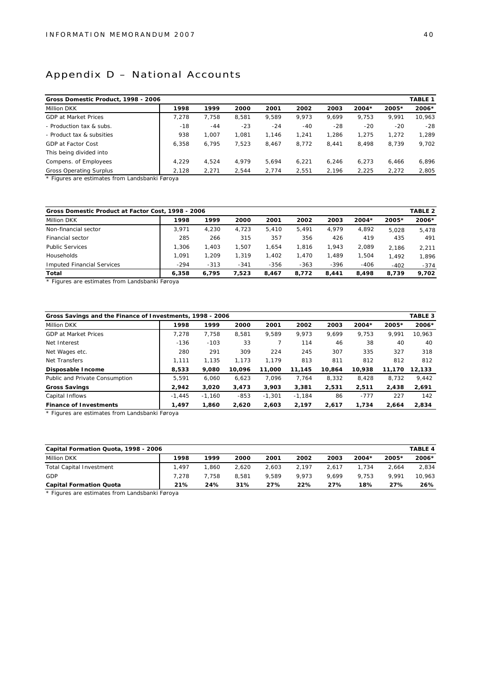## Appendix D – National Accounts

| TABLE 1<br>Gross Domestic Product, 1998 - 2006 |       |       |       |       |       |         |       |        |  |
|------------------------------------------------|-------|-------|-------|-------|-------|---------|-------|--------|--|
| 1998                                           | 1999  | 2000  | 2001  | 2002  | 2003  | $2004*$ | 2005* | 2006*  |  |
| 7.278                                          | 7.758 | 8.581 | 9.589 | 9.973 | 9.699 | 9.753   | 9.991 | 10.963 |  |
| $-18$                                          | $-44$ | $-23$ | $-24$ | $-40$ | $-28$ | $-20$   | $-20$ | $-28$  |  |
| 938                                            | 1.007 | 1.081 | 1.146 | 1.241 | 1.286 | 1.275   | 1.272 | 1.289  |  |
| 6.358                                          | 6,795 | 7.523 | 8.467 | 8,772 | 8.441 | 8,498   | 8.739 | 9,702  |  |
|                                                |       |       |       |       |       |         |       |        |  |
| 4.229                                          | 4.524 | 4.979 | 5.694 | 6.221 | 6.246 | 6.273   | 6.466 | 6,896  |  |
| 2.128                                          | 2.271 | 2.544 | 2.774 | 2.551 | 2.196 | 2,225   | 2,272 | 2,805  |  |
|                                                |       |       |       |       |       |         |       |        |  |

Figures are estimates from Landsbanki Føroya

| Gross Domestic Product at Factor Cost, 1998 - 2006 |        |        |        |        |        |        |         |         | TABLE <sub>2</sub> |
|----------------------------------------------------|--------|--------|--------|--------|--------|--------|---------|---------|--------------------|
| <b>Million DKK</b>                                 | 1998   | 1999   | 2000   | 2001   | 2002   | 2003   | $2004*$ | $2005*$ | $2006*$            |
| Non-financial sector                               | 3.971  | 4.230  | 4.723  | 5.410  | 5.491  | 4.979  | 4,892   | 5.028   | 5.478              |
| Financial sector                                   | 285    | 266    | 315    | 357    | 356    | 426    | 419     | 435     | 491                |
| <b>Public Services</b>                             | 1.306  | 1.403  | 1.507  | .654   | 1.816  | 1.943  | 2.089   | 2.186   | 2.211              |
| <b>Households</b>                                  | 1.091  | 1.209  | 1.319  | .402   | 1.470  | 1.489  | 1.504   | 1.492   | 1.896              |
| Imputed Financial Services                         | $-294$ | $-313$ | $-341$ | $-356$ | $-363$ | $-396$ | $-406$  | $-402$  | $-374$             |
| Total                                              | 6.358  | 6.795  | 7.523  | 8.467  | 8.772  | 8.441  | 8.498   | 8.739   | 9.702              |
|                                                    |        |        |        |        |        |        |         |         |                    |

\* Figures are estimates from Landsbanki Føroya

| Gross Savings and the Finance of Investments, 1998 - 2006 |          |          |        |          |          |        |         |         | TABLE 3 |
|-----------------------------------------------------------|----------|----------|--------|----------|----------|--------|---------|---------|---------|
| <b>Million DKK</b>                                        | 1998     | 1999     | 2000   | 2001     | 2002     | 2003   | $2004*$ | $2005*$ | 2006*   |
| <b>GDP at Market Prices</b>                               | 7.278    | 7.758    | 8.581  | 9.589    | 9.973    | 9.699  | 9.753   | 9.991   | 10.963  |
| Net Interest                                              | $-136$   | $-103$   | 33     |          | 114      | 46     | 38      | 40      | 40      |
| Net Wages etc.                                            | 280      | 291      | 309    | 224      | 245      | 307    | 335     | 327     | 318     |
| Net Transfers                                             | 1,111    | 1.135    | 1.173  | 1.179    | 813      | 811    | 812     | 812     | 812     |
| Disposable Income                                         | 8.533    | 9.080    | 10.096 | 11.000   | 11.145   | 10.864 | 10.938  | 11.170  | 12.133  |
| Public and Private Consumption                            | 5,591    | 6,060    | 6.623  | 7.096    | 7.764    | 8,332  | 8,428   | 8.732   | 9,442   |
| Gross Savings                                             | 2.942    | 3.020    | 3.473  | 3.903    | 3.381    | 2,531  | 2,511   | 2,438   | 2,691   |
| Capital Inflows                                           | $-1.445$ | $-1.160$ | $-853$ | $-1.301$ | $-1.184$ | 86     | $-777$  | 227     | 142     |
| Finance of Investments                                    | 1.497    | 1.860    | 2.620  | 2.603    | 2.197    | 2.617  | 1,734   | 2.664   | 2,834   |

\* Figures are estimates from Landsbanki Føroya

| TABLE 4<br>Capital Formation Quota, 1998 - 2006 |        |       |       |       |       |       |         |         |        |  |
|-------------------------------------------------|--------|-------|-------|-------|-------|-------|---------|---------|--------|--|
| Million DKK                                     | 1998   | 1999  | 2000  | 2001  | 2002  | 2003  | $2004*$ | $2005*$ | 2006*  |  |
| Total Capital Investment                        | 497. ا | .860  | 2.620 | 2.603 | 2.197 | 2.617 | 1.734   | 2.664   | 2,834  |  |
| GDP                                             | 7.278  | 7.758 | 8.581 | 9.589 | 9.973 | 9.699 | 9.753   | 9.991   | 10,963 |  |
| Capital Formation Quota                         | 21%    | 24%   | 31%   | 27%   | 22%   | 27%   | 18%     | 27%     | 26%    |  |

\* Figures are estimates from Landsbanki Føroya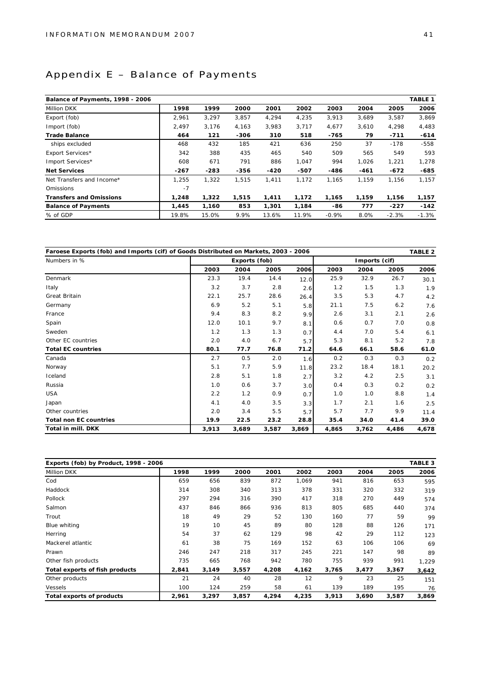## Appendix E – Balance of Payments

| Balance of Payments, 1998 - 2006 |        |        |        |        |        |         |        |         | TABLE 1 |
|----------------------------------|--------|--------|--------|--------|--------|---------|--------|---------|---------|
| Million DKK                      | 1998   | 1999   | 2000   | 2001   | 2002   | 2003    | 2004   | 2005    | 2006    |
| Export (fob)                     | 2,961  | 3,297  | 3,857  | 4,294  | 4,235  | 3,913   | 3,689  | 3,587   | 3,869   |
| Import (fob)                     | 2,497  | 3,176  | 4,163  | 3.983  | 3,717  | 4,677   | 3,610  | 4,298   | 4,483   |
| <b>Trade Balance</b>             | 464    | 121    | $-306$ | 310    | 518    | $-765$  | 79     | $-711$  | $-614$  |
| ships excluded                   | 468    | 432    | 185    | 421    | 636    | 250     | 37     | $-178$  | $-558$  |
| Export Services*                 | 342    | 388    | 435    | 465    | 540    | 509     | 565    | 549     | 593     |
| Import Services*                 | 608    | 671    | 791    | 886    | 1,047  | 994     | 1,026  | 1,221   | 1,278   |
| <b>Net Services</b>              | $-267$ | $-283$ | $-356$ | $-420$ | $-507$ | $-486$  | $-461$ | $-672$  | $-685$  |
| Net Transfers and Income*        | 1,255  | 1,322  | 1.515  | 1,411  | 1,172  | 1,165   | 1,159  | 1,156   | 1,157   |
| <b>Omissions</b>                 | $-7$   |        |        |        |        |         |        |         |         |
| Transfers and Omissions          | 1,248  | 1,322  | 1,515  | 1,411  | 1,172  | 1,165   | 1,159  | 1,156   | 1,157   |
| <b>Balance of Payments</b>       | 1.445  | 1,160  | 853    | 1,301  | 1,184  | $-86$   | 777    | $-227$  | $-142$  |
| % of GDP                         | 19.8%  | 15.0%  | 9.9%   | 13.6%  | 11.9%  | $-0.9%$ | 8.0%   | $-2.3%$ | $-1.3%$ |

| Faroese Exports (fob) and Imports (cif) of Goods Distributed on Markets, 2003 - 2006 |       |               |       |       |       |               |       | TABLE 2 |
|--------------------------------------------------------------------------------------|-------|---------------|-------|-------|-------|---------------|-------|---------|
| Numbers in %                                                                         |       | Exports (fob) |       |       |       | Imports (cif) |       |         |
|                                                                                      | 2003  | 2004          | 2005  | 2006  | 2003  | 2004          | 2005  | 2006    |
| Denmark                                                                              | 23.3  | 19.4          | 14.4  | 12.0  | 25.9  | 32.9          | 26.7  | 30.1    |
| Italy                                                                                | 3.2   | 3.7           | 2.8   | 2.6   | 1.2   | 1.5           | 1.3   | 1.9     |
| Great Britain                                                                        | 22.1  | 25.7          | 28.6  | 26.4  | 3.5   | 5.3           | 4.7   | 4.2     |
| Germany                                                                              | 6.9   | 5.2           | 5.1   | 5.8   | 21.1  | 7.5           | 6.2   | 7.6     |
| France                                                                               | 9.4   | 8.3           | 8.2   | 9.9   | 2.6   | 3.1           | 2.1   | 2.6     |
| Spain                                                                                | 12.0  | 10.1          | 9.7   | 8.1   | 0.6   | 0.7           | 7.0   | 0.8     |
| Sweden                                                                               | 1.2   | 1.3           | 1.3   | 0.7   | 4.4   | 7.0           | 5.4   | 6.1     |
| Other EC countries                                                                   | 2.0   | 4.0           | 6.7   | 5.7   | 5.3   | 8.1           | 5.2   | 7.8     |
| <b>Total EC countries</b>                                                            | 80.1  | 77.7          | 76.8  | 71.2  | 64.6  | 66.1          | 58.6  | 61.0    |
| Canada                                                                               | 2.7   | 0.5           | 2.0   | 1.6   | 0.2   | 0.3           | 0.3   | 0.2     |
| Norway                                                                               | 5.1   | 7.7           | 5.9   | 11.8  | 23.2  | 18.4          | 18.1  | 20.2    |
| Iceland                                                                              | 2.8   | 5.1           | 1.8   | 2.7   | 3.2   | 4.2           | 2.5   | 3.1     |
| Russia                                                                               | 1.0   | 0.6           | 3.7   | 3.0   | 0.4   | 0.3           | 0.2   | 0.2     |
| <b>USA</b>                                                                           | 2.2   | 1.2           | 0.9   | 0.7   | 1.0   | 1.0           | 8.8   | 1.4     |
| Japan                                                                                | 4.1   | 4.0           | 3.5   | 3.3   | 1.7   | 2.1           | 1.6   | 2.5     |
| Other countries                                                                      | 2.0   | 3.4           | 5.5   | 5.7   | 5.7   | 7.7           | 9.9   | 11.4    |
| Total non EC countries                                                               | 19.9  | 22.5          | 23.2  | 28.8  | 35.4  | 34.0          | 41.4  | 39.0    |
| Total in mill. DKK                                                                   | 3,913 | 3,689         | 3,587 | 3,869 | 4,865 | 3,762         | 4,486 | 4,678   |

| Exports (fob) by Product, 1998 - 2006 |       |       |       |       |       |       |       |       | TABLE 3 |
|---------------------------------------|-------|-------|-------|-------|-------|-------|-------|-------|---------|
| Million DKK                           | 1998  | 1999  | 2000  | 2001  | 2002  | 2003  | 2004  | 2005  | 2006    |
| Cod                                   | 659   | 656   | 839   | 872   | 1,069 | 941   | 816   | 653   | 595     |
| Haddock                               | 314   | 308   | 340   | 313   | 378   | 331   | 320   | 332   | 319     |
| Pollock                               | 297   | 294   | 316   | 390   | 417   | 318   | 270   | 449   | 574     |
| Salmon                                | 437   | 846   | 866   | 936   | 813   | 805   | 685   | 440   | 374     |
| Trout                                 | 18    | 49    | 29    | 52    | 130   | 160   | 77    | 59    | 99      |
| Blue whiting                          | 19    | 10    | 45    | 89    | 80    | 128   | 88    | 126   | 171     |
| Herring                               | 54    | 37    | 62    | 129   | 98    | 42    | 29    | 112   | 123     |
| Mackerel atlantic                     | 61    | 38    | 75    | 169   | 152   | 63    | 106   | 106   | 69      |
| Prawn                                 | 246   | 247   | 218   | 317   | 245   | 221   | 147   | 98    | 89      |
| Other fish products                   | 735   | 665   | 768   | 942   | 780   | 755   | 939   | 991   | 1,229   |
| Total exports of fish products        | 2,841 | 3,149 | 3,557 | 4,208 | 4,162 | 3,765 | 3,477 | 3,367 | 3,642   |
| Other products                        | 21    | 24    | 40    | 28    | 12    | 9     | 23    | 25    | 151     |
| <b>Vessels</b>                        | 100   | 124   | 259   | 58    | 61    | 139   | 189   | 195   | 76      |
| Total exports of products             | 2,961 | 3,297 | 3,857 | 4,294 | 4,235 | 3,913 | 3,690 | 3,587 | 3,869   |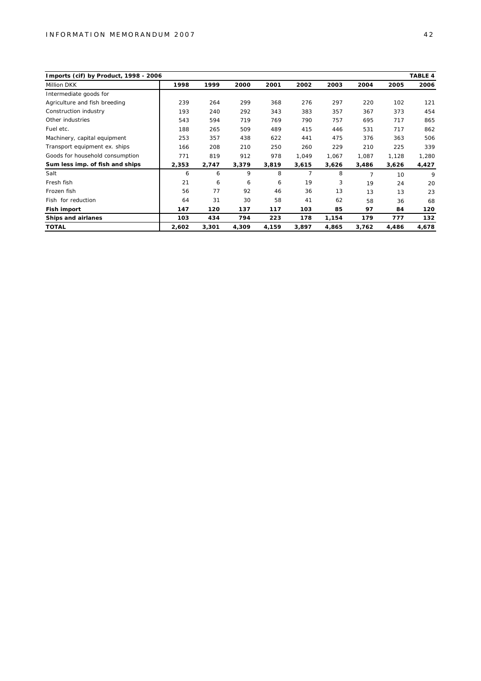| Imports (cif) by Product, 1998 - 2006 |       |       |       |       |                |       |       |       | TABLE 4 |
|---------------------------------------|-------|-------|-------|-------|----------------|-------|-------|-------|---------|
| <b>Million DKK</b>                    | 1998  | 1999  | 2000  | 2001  | 2002           | 2003  | 2004  | 2005  | 2006    |
| Intermediate goods for                |       |       |       |       |                |       |       |       |         |
| Agriculture and fish breeding         | 239   | 264   | 299   | 368   | 276            | 297   | 220   | 102   | 121     |
| Construction industry                 | 193   | 240   | 292   | 343   | 383            | 357   | 367   | 373   | 454     |
| Other industries                      | 543   | 594   | 719   | 769   | 790            | 757   | 695   | 717   | 865     |
| Fuel etc.                             | 188   | 265   | 509   | 489   | 415            | 446   | 531   | 717   | 862     |
| Machinery, capital equipment          | 253   | 357   | 438   | 622   | 441            | 475   | 376   | 363   | 506     |
| Transport equipment ex. ships         | 166   | 208   | 210   | 250   | 260            | 229   | 210   | 225   | 339     |
| Goods for household consumption       | 771   | 819   | 912   | 978   | 1,049          | 1,067 | 1,087 | 1,128 | 1,280   |
| Sum less imp. of fish and ships       | 2,353 | 2,747 | 3,379 | 3,819 | 3,615          | 3,626 | 3,486 | 3,626 | 4,427   |
| Salt                                  | 6     | 6     | 9     | 8     | $\overline{7}$ | 8     | 7     | 10    | 9       |
| Fresh fish                            | 21    | 6     | 6     | 6     | 19             | 3     | 19    | 24    | 20      |
| Frozen fish                           | 56    | 77    | 92    | 46    | 36             | 13    | 13    | 13    | 23      |
| Fish for reduction                    | 64    | 31    | 30    | 58    | 41             | 62    | 58    | 36    | 68      |
| Fish import                           | 147   | 120   | 137   | 117   | 103            | 85    | 97    | 84    | 120     |
| Ships and airlanes                    | 103   | 434   | 794   | 223   | 178            | 1,154 | 179   | 777   | 132     |
| <b>TOTAL</b>                          | 2,602 | 3,301 | 4,309 | 4,159 | 3,897          | 4,865 | 3,762 | 4,486 | 4,678   |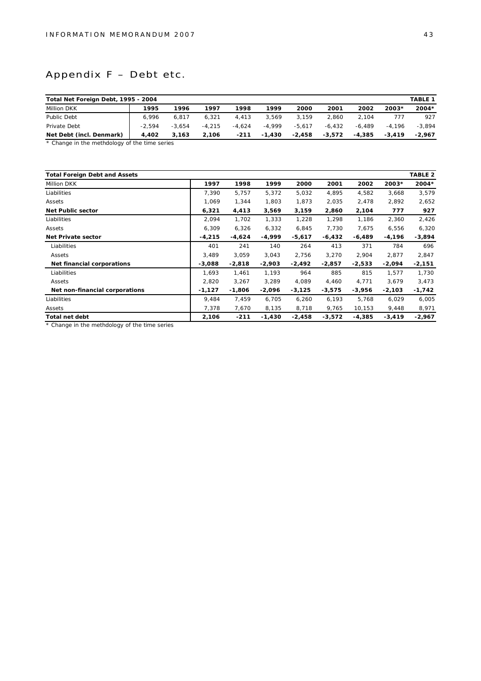## Appendix F – Debt etc.

| Total Net Foreign Debt, 1995 - 2004<br>TABLE 1 |          |          |          |          |          |          |          |          |          |          |
|------------------------------------------------|----------|----------|----------|----------|----------|----------|----------|----------|----------|----------|
| Million DKK                                    | 1995     | 1996     | 1997     | 1998     | 1999     | 2000     | 2001     | 2002     | $2003*$  | $2004*$  |
| Public Debt                                    | 6.996    | 6.817    | 6.321    | 4.413    | 3.569    | 3.159    | 2.860    | 2.104    | 777      | 927      |
| Private Debt                                   | $-2.594$ | $-3.654$ | $-4.215$ | $-4.624$ | $-4.999$ | $-5.617$ | $-6.432$ | $-6.489$ | $-4.196$ | $-3.894$ |
| Net Debt (incl. Denmark)                       | 4.402    | 3.163    | 2.106    | $-211$   | $-1.430$ | $-2.458$ | $-3.572$ | $-4.385$ | $-3.419$ | $-2.967$ |

\* Change in the methdology of the time series

| <b>Total Foreign Debt and Assets</b> |          |          |          |          |          |          |          | TABLE 2  |
|--------------------------------------|----------|----------|----------|----------|----------|----------|----------|----------|
| Million DKK                          | 1997     | 1998     | 1999     | 2000     | 2001     | 2002     | $2003*$  | 2004*    |
| Liabilities                          | 7,390    | 5,757    | 5,372    | 5,032    | 4,895    | 4,582    | 3,668    | 3,579    |
| Assets                               | 1,069    | 1,344    | 1.803    | 1,873    | 2,035    | 2,478    | 2,892    | 2,652    |
| Net Public sector                    | 6,321    | 4,413    | 3,569    | 3,159    | 2,860    | 2,104    | 777      | 927      |
| Liabilities                          | 2,094    | 1,702    | 1,333    | 1,228    | 1,298    | 1,186    | 2,360    | 2,426    |
| Assets                               | 6,309    | 6,326    | 6,332    | 6,845    | 7,730    | 7,675    | 6,556    | 6,320    |
| Net Private sector                   | $-4,215$ | $-4,624$ | $-4,999$ | $-5,617$ | $-6,432$ | $-6,489$ | $-4,196$ | $-3,894$ |
| Liabilities                          | 401      | 241      | 140      | 264      | 413      | 371      | 784      | 696      |
| Assets                               | 3.489    | 3.059    | 3,043    | 2,756    | 3,270    | 2,904    | 2,877    | 2,847    |
| Net financial corporations           | $-3,088$ | $-2,818$ | $-2,903$ | $-2,492$ | $-2,857$ | $-2,533$ | $-2,094$ | $-2,151$ |
| Liabilities                          | 1,693    | 1,461    | 1,193    | 964      | 885      | 815      | 1,577    | 1,730    |
| Assets                               | 2,820    | 3,267    | 3,289    | 4,089    | 4,460    | 4,771    | 3,679    | 3,473    |
| Net non-financial corporations       | $-1,127$ | $-1,806$ | $-2,096$ | $-3,125$ | $-3,575$ | $-3,956$ | $-2,103$ | $-1,742$ |
| Liabilities                          | 9.484    | 7,459    | 6.705    | 6,260    | 6,193    | 5,768    | 6,029    | 6,005    |
| Assets                               | 7,378    | 7,670    | 8,135    | 8,718    | 9,765    | 10,153   | 9,448    | 8,971    |
| Total net debt                       | 2,106    | $-211$   | $-1,430$ | $-2,458$ | $-3,572$ | $-4,385$ | $-3,419$ | $-2,967$ |

\* Change in the methdology of the time series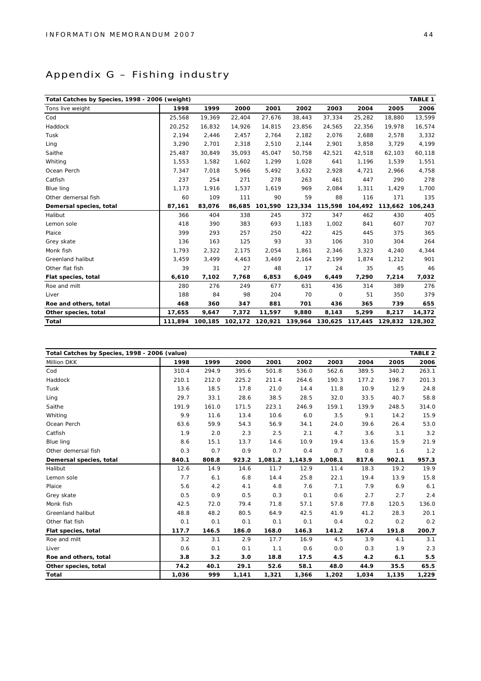## Appendix G – Fishing industry

| Total Catches by Species, 1998 - 2006 (weight) |         |        |                         |         |                                         |         |         |         | TABLE 1 |
|------------------------------------------------|---------|--------|-------------------------|---------|-----------------------------------------|---------|---------|---------|---------|
| Tons live weight                               | 1998    | 1999   | 2000                    | 2001    | 2002                                    | 2003    | 2004    | 2005    | 2006    |
| Cod                                            | 25,568  | 19.369 | 22.404                  | 27,676  | 38,443                                  | 37,334  | 25,282  | 18,880  | 13,599  |
| Haddock                                        | 20,252  | 16,832 | 14,926                  | 14,815  | 23,856                                  | 24,565  | 22,356  | 19,978  | 16,574  |
| Tusk                                           | 2,194   | 2,446  | 2,457                   | 2,764   | 2,182                                   | 2,076   | 2,688   | 2,578   | 3,332   |
| Ling                                           | 3,290   | 2,701  | 2,318                   | 2,510   | 2,144                                   | 2,901   | 3,858   | 3,729   | 4,199   |
| Saithe                                         | 25,487  | 30,849 | 35,093                  | 45,047  | 50,758                                  | 42,521  | 42,518  | 62,103  | 60,118  |
| Whiting                                        | 1,553   | 1,582  | 1,602                   | 1,299   | 1,028                                   | 641     | 1,196   | 1,539   | 1,551   |
| Ocean Perch                                    | 7,347   | 7,018  | 5,966                   | 5,492   | 3,632                                   | 2,928   | 4,721   | 2,966   | 4,758   |
| Catfish                                        | 237     | 254    | 271                     | 278     | 263                                     | 461     | 447     | 290     | 278     |
| Blue ling                                      | 1,173   | 1,916  | 1,537                   | 1,619   | 969                                     | 2,084   | 1,311   | 1,429   | 1,700   |
| Other demersal fish                            | 60      | 109    | 111                     | 90      | 59                                      | 88      | 116     | 171     | 135     |
| Demersal species, total                        | 87,161  | 83,076 | 86,685                  | 101,590 | 123,334                                 | 115,598 | 104,492 | 113,662 | 106,243 |
| Halibut                                        | 366     | 404    | 338                     | 245     | 372                                     | 347     | 462     | 430     | 405     |
| Lemon sole                                     | 418     | 390    | 383                     | 693     | 1,183                                   | 1,002   | 841     | 607     | 707     |
| Plaice                                         | 399     | 293    | 257                     | 250     | 422                                     | 425     | 445     | 375     | 365     |
| Grey skate                                     | 136     | 163    | 125                     | 93      | 33                                      | 106     | 310     | 304     | 264     |
| Monk fish                                      | 1,793   | 2,322  | 2,175                   | 2,054   | 1,861                                   | 2,346   | 3,323   | 4,240   | 4,344   |
| Greenland halibut                              | 3,459   | 3,499  | 4,463                   | 3,469   | 2,164                                   | 2,199   | 1,874   | 1,212   | 901     |
| Other flat fish                                | 39      | 31     | 27                      | 48      | 17                                      | 24      | 35      | 45      | 46      |
| Flat species, total                            | 6,610   | 7,102  | 7,768                   | 6,853   | 6,049                                   | 6,449   | 7,290   | 7,214   | 7,032   |
| Roe and milt                                   | 280     | 276    | 249                     | 677     | 631                                     | 436     | 314     | 389     | 276     |
| Liver                                          | 188     | 84     | 98                      | 204     | 70                                      | $\circ$ | 51      | 350     | 379     |
| Roe and others, total                          | 468     | 360    | 347                     | 881     | 701                                     | 436     | 365     | 739     | 655     |
| Other species, total                           | 17,655  | 9,647  | 7,372                   | 11,597  | 9,880                                   | 8,143   | 5,299   | 8,217   | 14,372  |
| Total                                          | 111,894 |        | 100,185 102,172 120,921 |         | 139,964 130,625 117,445 129,832 128,302 |         |         |         |         |

| Total Catches by Species, 1998 - 2006 (value) |       |       |       |         |         |         |       |       | TABLE 2 |
|-----------------------------------------------|-------|-------|-------|---------|---------|---------|-------|-------|---------|
| Million DKK                                   | 1998  | 1999  | 2000  | 2001    | 2002    | 2003    | 2004  | 2005  | 2006    |
| Cod                                           | 310.4 | 294.9 | 395.6 | 501.8   | 536.0   | 562.6   | 389.5 | 340.2 | 263.1   |
| Haddock                                       | 210.1 | 212.0 | 225.2 | 211.4   | 264.6   | 190.3   | 177.2 | 198.7 | 201.3   |
| Tusk                                          | 13.6  | 18.5  | 17.8  | 21.0    | 14.4    | 11.8    | 10.9  | 12.9  | 24.8    |
| Ling                                          | 29.7  | 33.1  | 28.6  | 38.5    | 28.5    | 32.0    | 33.5  | 40.7  | 58.8    |
| Saithe                                        | 191.9 | 161.0 | 171.5 | 223.1   | 246.9   | 159.1   | 139.9 | 248.5 | 314.0   |
| Whiting                                       | 9.9   | 11.6  | 13.4  | 10.6    | 6.0     | 3.5     | 9.1   | 14.2  | 15.9    |
| Ocean Perch                                   | 63.6  | 59.9  | 54.3  | 56.9    | 34.1    | 24.0    | 39.6  | 26.4  | 53.0    |
| Catfish                                       | 1.9   | 2.0   | 2.3   | 2.5     | 2.1     | 4.7     | 3.6   | 3.1   | 3.2     |
| Blue ling                                     | 8.6   | 15.1  | 13.7  | 14.6    | 10.9    | 19.4    | 13.6  | 15.9  | 21.9    |
| Other demersal fish                           | 0.3   | 0.7   | 0.9   | 0.7     | 0.4     | 0.7     | 0.8   | 1.6   | 1.2     |
| Demersal species, total                       | 840.1 | 808.8 | 923.2 | 1,081.2 | 1,143.9 | 1,008.1 | 817.6 | 902.1 | 957.3   |
| Halibut                                       | 12.6  | 14.9  | 14.6  | 11.7    | 12.9    | 11.4    | 18.3  | 19.2  | 19.9    |
| Lemon sole                                    | 7.7   | 6.1   | 6.8   | 14.4    | 25.8    | 22.1    | 19.4  | 13.9  | 15.8    |
| Plaice                                        | 5.6   | 4.2   | 4.1   | 4.8     | 7.6     | 7.1     | 7.9   | 6.9   | 6.1     |
| Grey skate                                    | 0.5   | 0.9   | 0.5   | 0.3     | 0.1     | 0.6     | 2.7   | 2.7   | 2.4     |
| Monk fish                                     | 42.5  | 72.0  | 79.4  | 71.8    | 57.1    | 57.8    | 77.8  | 120.5 | 136.0   |
| Greenland halibut                             | 48.8  | 48.2  | 80.5  | 64.9    | 42.5    | 41.9    | 41.2  | 28.3  | 20.1    |
| Other flat fish                               | 0.1   | 0.1   | 0.1   | 0.1     | 0.1     | 0.4     | 0.2   | 0.2   | 0.2     |
| Flat species, total                           | 117.7 | 146.5 | 186.0 | 168.0   | 146.3   | 141.2   | 167.4 | 191.8 | 200.7   |
| Roe and milt                                  | 3.2   | 3.1   | 2.9   | 17.7    | 16.9    | 4.5     | 3.9   | 4.1   | 3.1     |
| Liver                                         | 0.6   | 0.1   | 0.1   | 1.1     | 0.6     | 0.0     | 0.3   | 1.9   | 2.3     |
| Roe and others, total                         | 3.8   | 3.2   | 3.0   | 18.8    | 17.5    | 4.5     | 4.2   | 6.1   | 5.5     |
| Other species, total                          | 74.2  | 40.1  | 29.1  | 52.6    | 58.1    | 48.0    | 44.9  | 35.5  | 65.5    |
| Total                                         | 1,036 | 999   | 1,141 | 1,321   | 1,366   | 1,202   | 1,034 | 1,135 | 1,229   |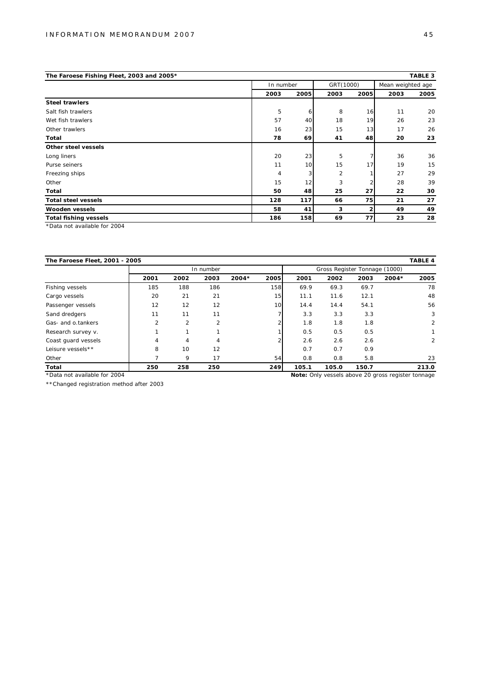| The Faroese Fishing Fleet, 2003 and 2005*            |                |           |           |      |                   | TABLE 3 |
|------------------------------------------------------|----------------|-----------|-----------|------|-------------------|---------|
|                                                      |                | In number | GRT(1000) |      | Mean weighted age |         |
|                                                      | 2003           | 2005      | 2003      | 2005 | 2003              | 2005    |
| Steel trawlers                                       |                |           |           |      |                   |         |
| Salt fish trawlers                                   | 5              | 6         | 8         | 16   | 11                | 20      |
| Wet fish trawlers                                    | 57             | 40        | 18        | 19   | 26                | 23      |
| Other trawlers                                       | 16             | 23        | 15        | 13   | 17                | 26      |
| Total                                                | 78             | 69        | 41        | 48   | 20                | 23      |
| Other steel vessels                                  |                |           |           |      |                   |         |
| Long liners                                          | 20             | 23        | 5         |      | 36                | 36      |
| Purse seiners                                        | 11             | 10        | 15        | 17   | 19                | 15      |
| Freezing ships                                       | $\overline{4}$ | 3         | 2         |      | 27                | 29      |
| Other                                                | 15             | 12        | 3         |      | 28                | 39      |
| Total                                                | 50             | 48        | 25        | 27   | 22                | 30      |
| Total steel vessels                                  | 128            | 117       | 66        | 75   | 21                | 27      |
| Wooden vessels                                       | 58             | 41        | 3         | 2    | 49                | 49      |
| Total fishing vessels                                | 186            | 158       | 69        | 77   | 23                | 28      |
| $*D - L - L - L - L - L - L - L - L - L - R - R - L$ |                |           |           |      |                   |         |

\*Data not available for 2004

| The Faroese Fleet, 2001 - 2005 |                |                |                          |         |      |       |                               |       |         | TABLE 4        |
|--------------------------------|----------------|----------------|--------------------------|---------|------|-------|-------------------------------|-------|---------|----------------|
|                                |                |                | In number                |         |      |       | Gross Register Tonnage (1000) |       |         |                |
|                                | 2001           | 2002           | 2003                     | $2004*$ | 2005 | 2001  | 2002                          | 2003  | $2004*$ | 2005           |
| Fishing vessels                | 185            | 188            | 186                      |         | 158  | 69.9  | 69.3                          | 69.7  |         | 78             |
| Cargo vessels                  | 20             | 21             | 21                       |         | 15   | 11.1  | 11.6                          | 12.1  |         | 48             |
| Passenger vessels              | 12             | 12             | 12                       |         | 10   | 14.4  | 14.4                          | 54.1  |         | 56             |
| Sand dredgers                  | 11             | 11             | 11                       |         |      | 3.3   | 3.3                           | 3.3   |         | 3              |
| Gas- and o.tankers             | $\mathfrak{p}$ | $\mathfrak{p}$ | $\overline{\mathcal{L}}$ |         |      | 1.8   | 1.8                           | 1.8   |         | $\overline{2}$ |
| Research survey v.             |                | 1              |                          |         |      | 0.5   | 0.5                           | 0.5   |         |                |
| Coast guard vessels            | 4              | 4              | 4                        |         |      | 2.6   | 2.6                           | 2.6   |         | $\overline{2}$ |
| Leisure vessels**              | 8              | 10             | 12                       |         |      | 0.7   | O.7                           | 0.9   |         |                |
| Other                          |                | 9              | 17                       |         | 54   | 0.8   | 0.8                           | 5.8   |         | 23             |
| Total                          | 250            | 258            | 250                      |         | 249  | 105.1 | 105.0                         | 150.7 |         | 213.0          |

\*Data not available for 2004

\*\*Changed registration method after 2003

**Note:** Only vessels above 20 gross register tonnage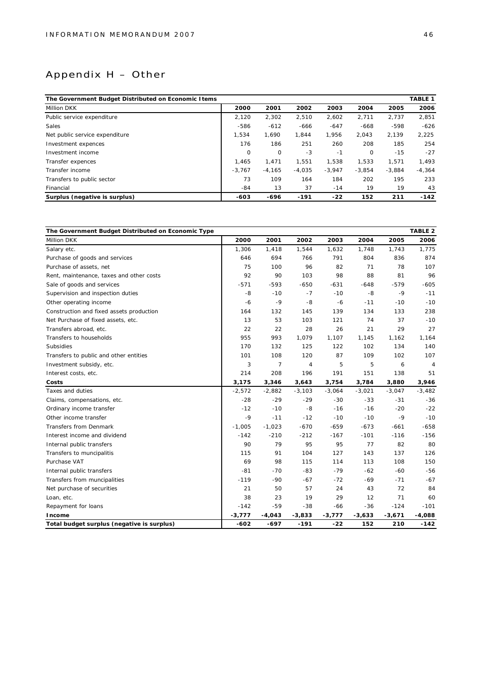## Appendix H – Other

| The Government Budget Distributed on Economic I tems |          |          |          |          |          |          | TABLE 1  |
|------------------------------------------------------|----------|----------|----------|----------|----------|----------|----------|
| Million DKK                                          | 2000     | 2001     | 2002     | 2003     | 2004     | 2005     | 2006     |
| Public service expenditure                           | 2.120    | 2,302    | 2,510    | 2,602    | 2,711    | 2.737    | 2,851    |
| Sales                                                | $-586$   | $-612$   | $-666$   | $-647$   | $-668$   | -598     | $-626$   |
| Net public service expenditure                       | 1,534    | 1.690    | 1.844    | 1.956    | 2,043    | 2,139    | 2,225    |
| Investment expences                                  | 176      | 186      | 251      | 260      | 208      | 185      | 254      |
| Investment income                                    | 0        | $\circ$  | $-3$     | $-1$     | $\circ$  | $-15$    | $-27$    |
| Transfer expences                                    | 1.465    | 1.471    | 1.551    | 1.538    | 1.533    | 1.571    | 1,493    |
| Transfer income                                      | $-3.767$ | $-4.165$ | $-4,035$ | $-3.947$ | $-3.854$ | $-3.884$ | $-4,364$ |
| Transfers to public sector                           | 73       | 109      | 164      | 184      | 202      | 195      | 233      |
| Financial                                            | $-84$    | 13       | 37       | $-14$    | 19       | 19       | 43       |
| Surplus (negative is surplus)                        | $-603$   | $-696$   | $-191$   | $-22$    | 152      | 211      | $-142$   |

| The Government Budget Distributed on Economic Type |          |                |                |          |          |          | TABLE 2        |
|----------------------------------------------------|----------|----------------|----------------|----------|----------|----------|----------------|
| Million DKK                                        | 2000     | 2001           | 2002           | 2003     | 2004     | 2005     | 2006           |
| Salary etc.                                        | 1,306    | 1,418          | 1,544          | 1,632    | 1,748    | 1,743    | 1,775          |
| Purchase of goods and services                     | 646      | 694            | 766            | 791      | 804      | 836      | 874            |
| Purchase of assets, net                            | 75       | 100            | 96             | 82       | 71       | 78       | 107            |
| Rent, maintenance, taxes and other costs           | 92       | 90             | 103            | 98       | 88       | 81       | 96             |
| Sale of goods and services                         | $-571$   | $-593$         | $-650$         | $-631$   | $-648$   | $-579$   | $-605$         |
| Supervision and inspection duties                  | -8       | $-10$          | $-7$           | $-10$    | $-8$     | $-9$     | $-11$          |
| Other operating income                             | $-6$     | $-9$           | $-8$           | $-6$     | $-11$    | $-10$    | $-10$          |
| Construction and fixed assets production           | 164      | 132            | 145            | 139      | 134      | 133      | 238            |
| Net Purchase of fixed assets, etc.                 | 13       | 53             | 103            | 121      | 74       | 37       | $-10$          |
| Transfers abroad, etc.                             | 22       | 22             | 28             | 26       | 21       | 29       | 27             |
| Transfers to households                            | 955      | 993            | 1,079          | 1,107    | 1,145    | 1,162    | 1,164          |
| <b>Subsidies</b>                                   | 170      | 132            | 125            | 122      | 102      | 134      | 140            |
| Transfers to public and other entities             | 101      | 108            | 120            | 87       | 109      | 102      | 107            |
| Investment subsidy, etc.                           | 3        | $\overline{7}$ | $\overline{4}$ | 5        | 5        | 6        | $\overline{4}$ |
| Interest costs, etc.                               | 214      | 208            | 196            | 191      | 151      | 138      | 51             |
| Costs                                              | 3,175    | 3,346          | 3,643          | 3,754    | 3,784    | 3,880    | 3,946          |
| Taxes and duties                                   | $-2,572$ | $-2,882$       | $-3,103$       | $-3,064$ | $-3,021$ | $-3,047$ | $-3,482$       |
| Claims, compensations, etc.                        | $-28$    | $-29$          | $-29$          | $-30$    | $-33$    | $-31$    | $-36$          |
| Ordinary income transfer                           | $-12$    | $-10$          | $-8$           | $-16$    | $-16$    | $-20$    | $-22$          |
| Other income transfer                              | $-9$     | $-11$          | $-12$          | $-10$    | $-10$    | $-9$     | $-10$          |
| <b>Transfers from Denmark</b>                      | $-1,005$ | $-1,023$       | $-670$         | $-659$   | $-673$   | $-661$   | $-658$         |
| Interest income and dividend                       | $-142$   | $-210$         | $-212$         | $-167$   | $-101$   | $-116$   | $-156$         |
| Internal public transfers                          | 90       | 79             | 95             | 95       | 77       | 82       | 80             |
| Transfers to muncipalitis                          | 115      | 91             | 104            | 127      | 143      | 137      | 126            |
| Purchase VAT                                       | 69       | 98             | 115            | 114      | 113      | 108      | 150            |
| Internal public transfers                          | $-81$    | $-70$          | $-83$          | $-79$    | $-62$    | $-60$    | $-56$          |
| Transfers from muncipalities                       | $-119$   | $-90$          | $-67$          | $-72$    | $-69$    | $-71$    | $-67$          |
| Net purchase of securities                         | 21       | 50             | 57             | 24       | 43       | 72       | 84             |
| Loan, etc.                                         | 38       | 23             | 19             | 29       | 12       | 71       | 60             |
| Repayment for loans                                | $-142$   | $-59$          | $-38$          | $-66$    | $-36$    | $-124$   | $-101$         |
| I ncome                                            | $-3,777$ | $-4,043$       | $-3,833$       | $-3,777$ | $-3,633$ | $-3,671$ | $-4,088$       |
| Total budget surplus (negative is surplus)         | $-602$   | $-697$         | $-191$         | $-22$    | 152      | 210      | $-142$         |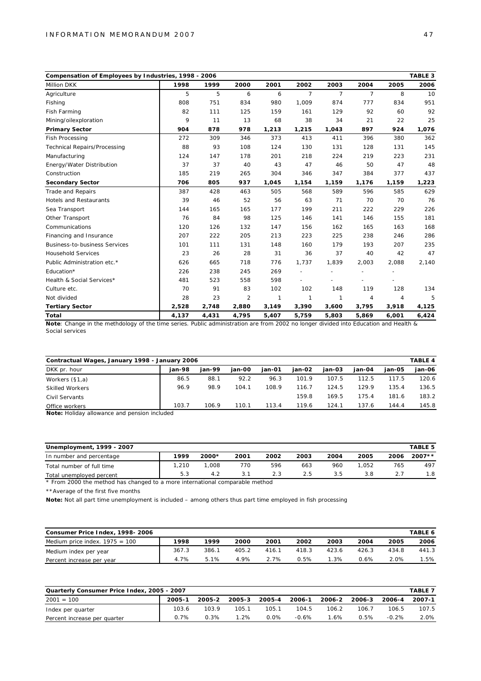| Compensation of Employees by Industries, 1998 - 2006 |       |       |       |              |                |                |                |       | TABLE 3 |
|------------------------------------------------------|-------|-------|-------|--------------|----------------|----------------|----------------|-------|---------|
| <b>Million DKK</b>                                   | 1998  | 1999  | 2000  | 2001         | 2002           | 2003           | 2004           | 2005  | 2006    |
| Agriculture                                          | 5     | 5     | 6     | 6            | $\overline{7}$ | $\overline{7}$ | $\overline{7}$ | 8     | 10      |
| Fishing                                              | 808   | 751   | 834   | 980          | 1,009          | 874            | 777            | 834   | 951     |
| Fish Farming                                         | 82    | 111   | 125   | 159          | 161            | 129            | 92             | 60    | 92      |
| Mining/oilexploration                                | 9     | 11    | 13    | 68           | 38             | 34             | 21             | 22    | 25      |
| Primary Sector                                       | 904   | 878   | 978   | 1,213        | 1,215          | 1,043          | 897            | 924   | 1,076   |
| <b>Fish Processing</b>                               | 272   | 309   | 346   | 373          | 413            | 411            | 396            | 380   | 362     |
| <b>Technical Repairs/Processing</b>                  | 88    | 93    | 108   | 124          | 130            | 131            | 128            | 131   | 145     |
| Manufacturing                                        | 124   | 147   | 178   | 201          | 218            | 224            | 219            | 223   | 231     |
| Energy/Water Distribution                            | 37    | 37    | 40    | 43           | 47             | 46             | 50             | 47    | 48      |
| Construction                                         | 185   | 219   | 265   | 304          | 346            | 347            | 384            | 377   | 437     |
| Secondary Sector                                     | 706   | 805   | 937   | 1,045        | 1,154          | 1,159          | 1,176          | 1,159 | 1,223   |
| <b>Trade and Repairs</b>                             | 387   | 428   | 463   | 505          | 568            | 589            | 596            | 585   | 629     |
| <b>Hotels and Restaurants</b>                        | 39    | 46    | 52    | 56           | 63             | 71             | 70             | 70    | 76      |
| Sea Transport                                        | 144   | 165   | 165   | 177          | 199            | 211            | 222            | 229   | 226     |
| Other Transport                                      | 76    | 84    | 98    | 125          | 146            | 141            | 146            | 155   | 181     |
| Communications                                       | 120   | 126   | 132   | 147          | 156            | 162            | 165            | 163   | 168     |
| Financing and Insurance                              | 207   | 222   | 205   | 213          | 223            | 225            | 238            | 246   | 286     |
| <b>Business-to-business Services</b>                 | 101   | 111   | 131   | 148          | 160            | 179            | 193            | 207   | 235     |
| <b>Household Services</b>                            | 23    | 26    | 28    | 31           | 36             | 37             | 40             | 42    | 47      |
| Public Administration etc.*                          | 626   | 665   | 718   | 776          | 1,737          | 1,839          | 2,003          | 2,088 | 2,140   |
| Education*                                           | 226   | 238   | 245   | 269          |                |                |                |       |         |
| Health & Social Services*                            | 481   | 523   | 558   | 598          |                |                |                |       |         |
| Culture etc.                                         | 70    | 91    | 83    | 102          | 102            | 148            | 119            | 128   | 134     |
| Not divided                                          | 28    | 23    | 2     | $\mathbf{1}$ | 1              | 1              | $\overline{4}$ | 4     |         |
| <b>Tertiary Sector</b>                               | 2,528 | 2,748 | 2,880 | 3,149        | 3,390          | 3,600          | 3,795          | 3,918 | 4,125   |
| Total                                                | 4,137 | 4,431 | 4,795 | 5,407        | 5,759          | 5,803          | 5,869          | 6,001 | 6,424   |

**Note**: Change in the methdology of the time series. Public administration are from 2002 no longer divided into Education and Health & Social services

| Contractual Wages, January 1998 - January 2006 |        |        |        |        |        |        |        |        |        |
|------------------------------------------------|--------|--------|--------|--------|--------|--------|--------|--------|--------|
| DKK pr. hour                                   | ian-98 | ian-99 | ian-00 | ian-01 | ian-02 | ian-03 | ian-04 | ian-05 | jan-06 |
| Workers (§1,a)                                 | 86.5   | 88.1   | 92.2   | 96.3   | 101.9  | 107.5  | 112.5  | 117.5  | 120.6  |
| <b>Skilled Workers</b>                         | 96.9   | 98.9   | 104.1  | 108.9  | 116.7  | 124.5  | 129.9  | 135.4  | 136.5  |
| Civil Servants                                 |        |        |        |        | 159.8  | 169.5  | 175.4  | 181.6  | 183.2  |
| Office workers                                 | 103.7  | 106.9  | 110.1  | 113.4  | 119.6  | 124.1  | 137.6  | 144.4  | 145.8  |

**Note:** Holiday allowance and pension included

| Unemployment, 1999 - 2007 |       |         |      |      |      |      |       |      | TABLE 5  |
|---------------------------|-------|---------|------|------|------|------|-------|------|----------|
| In number and percentage  | 1999  | $2000*$ | 2001 | 2002 | 2003 | 2004 | 2005  | 2006 | $2007**$ |
| Total number of full time | 1.210 | .008    | 770  | 596  | 663  | 960  | 1.052 | 765  | 497      |
| Total unemployed percent  | 5.3   | 4.2     |      | 2.3  | 2.5  | 3.5  | 3.8   |      | 1.8      |

\* From 2000 the method has changed to a more international comparable method

\*\*Average of the first five months

**Note:** Not all part time unemployment is included – among others thus part time employed in fish processing

| Consumer Price Index, 1998-2006  |       |       |       |       |       |         |       |       | TABLE 6 |
|----------------------------------|-------|-------|-------|-------|-------|---------|-------|-------|---------|
| Medium price index. $1975 = 100$ | 1998  | 1999  | 2000  | 2001  | 2002  | 2003    | 2004  | 2005  | 2006    |
| Medium index per year            | 367.3 | 386.1 | 405.2 | 416.1 | 418.3 | 423.6   | 426.3 | 434.8 | 441.3   |
| Percent increase per year        | 4.7%  | 5 1%  | 4.9%  | 2.7%  | 0.5%  | $1.3\%$ | 0.6%  | 2.0%  | .5%     |

| Quarterly Consumer Price Index, 2005 - 2007 |        |        |            |        |         |        |        |         |        |
|---------------------------------------------|--------|--------|------------|--------|---------|--------|--------|---------|--------|
| $2001 = 100$                                | 2005-1 | 2005-2 | $2005 - 3$ | 2005-4 | 2006-1  | 2006-2 | 2006-3 | 2006-4  | 2007-1 |
| Index per quarter                           | 103.6  | 103.9  | 105.1      | 105.1  | 104.5   | 106.2  | 106.7  | 106.5   | 107.5  |
| Percent increase per quarter                | 0.7%   | 0.3%   | $1.2\%$    | 0.0%   | $-0.6%$ | l.6%   | 0.5%   | $-0.2%$ | 2.0%   |